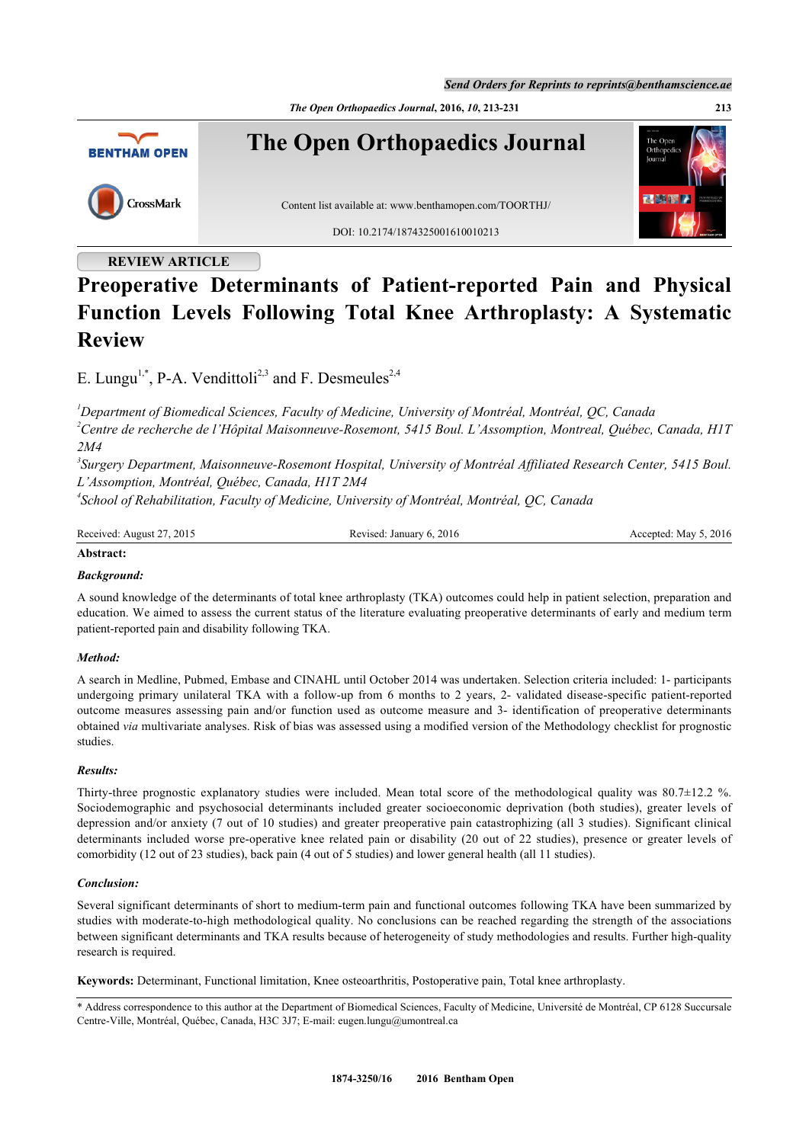*Send Orders for Reprints to reprints@benthamscience.ae*

*The Open Orthopaedics Journal***, 2016,** *10***, 213-231 213**



# **REVIEW ARTICLE**

# **Preoperative Determinants of Patient-reported Pain and Physical Function Levels Following Total Knee Arthroplasty: A Systematic Review**

E. Lungu<sup>[1,](#page-0-0)[\\*](#page-0-1)</sup>, P-A. Vendittoli<sup>[2,](#page-0-2)[3](#page-0-3)</sup> and F. Desmeules<sup>[2](#page-0-2)[,4](#page-0-4)</sup>

<span id="page-0-2"></span><span id="page-0-0"></span>*<sup>1</sup>Department of Biomedical Sciences, Faculty of Medicine, University of Montréal, Montréal, QC, Canada <sup>2</sup>Centre de recherche de l'Hôpital Maisonneuve-Rosemont, 5415 Boul. L'Assomption, Montreal, Québec, Canada, H1T 2M4*

<span id="page-0-4"></span><span id="page-0-3"></span>*3 Surgery Department, Maisonneuve-Rosemont Hospital, University of Montréal Affiliated Research Center, 5415 Boul. L'Assomption, Montréal, Québec, Canada, H1T 2M4 4 School of Rehabilitation, Faculty of Medicine, University of Montréal, Montréal, QC, Canada*

| Received: August 27, 2015<br>Revised: January 6, 2016 | Accepted: May 5, 2016 |
|-------------------------------------------------------|-----------------------|
|-------------------------------------------------------|-----------------------|

### **Abstract:**

### *Background:*

A sound knowledge of the determinants of total knee arthroplasty (TKA) outcomes could help in patient selection, preparation and education. We aimed to assess the current status of the literature evaluating preoperative determinants of early and medium term patient-reported pain and disability following TKA.

### *Method:*

A search in Medline, Pubmed, Embase and CINAHL until October 2014 was undertaken. Selection criteria included: 1- participants undergoing primary unilateral TKA with a follow-up from 6 months to 2 years, 2- validated disease-specific patient-reported outcome measures assessing pain and/or function used as outcome measure and 3- identification of preoperative determinants obtained *via* multivariate analyses. Risk of bias was assessed using a modified version of the Methodology checklist for prognostic studies.

### *Results:*

Thirty-three prognostic explanatory studies were included. Mean total score of the methodological quality was 80.7±12.2 %. Sociodemographic and psychosocial determinants included greater socioeconomic deprivation (both studies), greater levels of depression and/or anxiety (7 out of 10 studies) and greater preoperative pain catastrophizing (all 3 studies). Significant clinical determinants included worse pre-operative knee related pain or disability (20 out of 22 studies), presence or greater levels of comorbidity (12 out of 23 studies), back pain (4 out of 5 studies) and lower general health (all 11 studies).

### *Conclusion:*

Several significant determinants of short to medium-term pain and functional outcomes following TKA have been summarized by studies with moderate-to-high methodological quality. No conclusions can be reached regarding the strength of the associations between significant determinants and TKA results because of heterogeneity of study methodologies and results. Further high-quality research is required.

**Keywords:** Determinant, Functional limitation, Knee osteoarthritis, Postoperative pain, Total knee arthroplasty.

<span id="page-0-1"></span><sup>\*</sup> Address correspondence to this author at the Department of Biomedical Sciences, Faculty of Medicine, Université de Montréal, CP 6128 Succursale Centre-Ville, Montréal, Québec, Canada, H3C 3J7; E-mail: [eugen.lungu@umontreal.ca](mailto:eugen.lungu@umontreal.ca)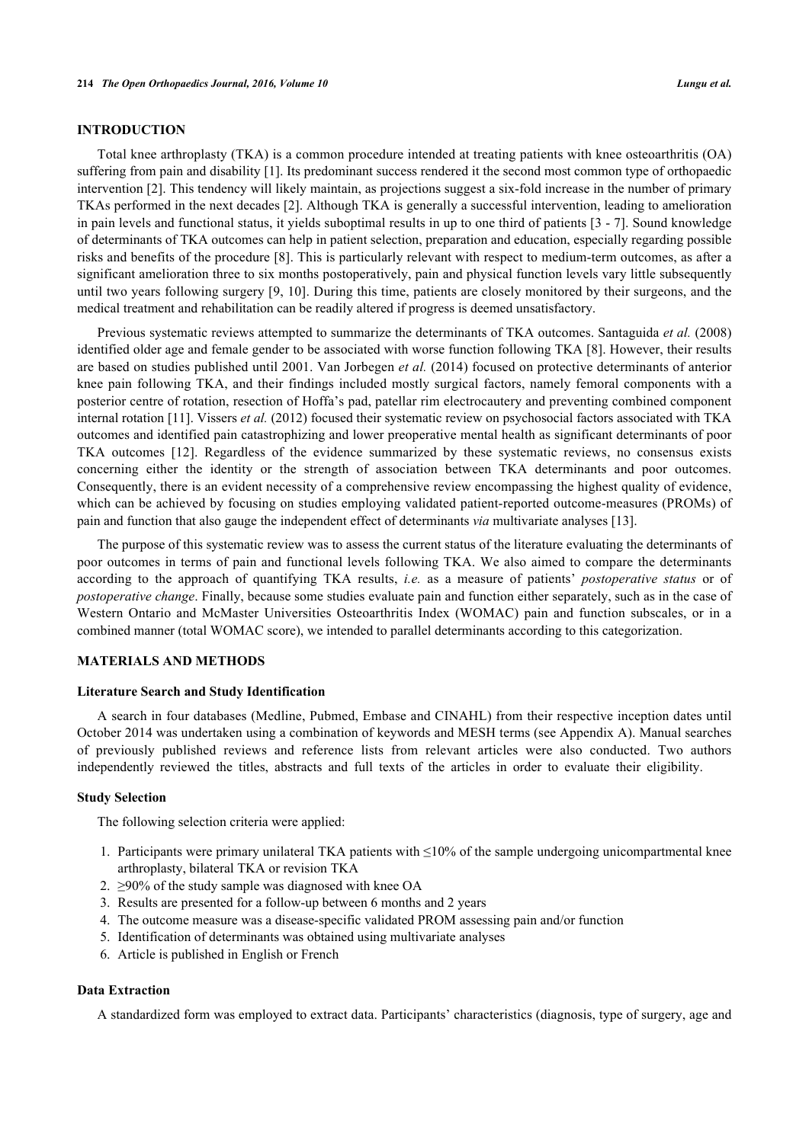# **INTRODUCTION**

Total knee arthroplasty (TKA) is a common procedure intended at treating patients with knee osteoarthritis (OA) suffering from pain and disability [1]. Its predominant success rendered it the second most common type of orthopaedic intervention [\[2](#page-15-1)]. This tendency wil[l l](#page-15-0)ikely maintain, as projections suggest a six-fold increase in the number of primary TKAs performed in the next decades [2]. Although TKA is generally a successful intervention, leading to amelioration in pain levels and functional status, it [yi](#page-15-1)elds suboptimal results in up to one third of patients [3 - 7]. Sound knowledge of determinants of TKA outcomes can help in patient selection, preparation and education, esp[ec](#page-15-2)ia[ll](#page-15-3)y regarding possible risks and benefits of the procedure [8]. This is particularly relevant with respect to medium-term outcomes, as after a significant a[m](#page-15-4)elioration three to six months postoperatively, pain and physical function levels vary little subsequently until two years following surgery [9, 10]. During this time, patients are closely monitored by their surgeons, and the medical treatment and rehabilitatio[n c](#page-15-5)[an b](#page-15-6)e readily altered if progress is deemed unsatisfactory.

Previous systematic reviews attempted to summarize the determinants of TKA outcomes. Santaguida *et al.* (2008) identified older age and female gender to be associated with worse function following TKA [8]. However, their results are based on studies published until 2001. Van Jorbegen *et al.* (2014) focused on protectiv[e d](#page-15-4)eterminants of anterior knee pain following TKA, and their findings included mostly surgical factors, namely femoral components with a posterior centre of rotation, resection of Hoffa's pad, patellar rim electrocautery and preventing combined component internal rotation [[11\]](#page-15-7). Vissers *et al.* (2012) focused their systematic review on psychosocial factors associated with TKA outcomes and identified pain catastrophizing and lower preoperative mental health as significant determinants of poor TKA outcomes [12]. Regardless of the evidence summarized by these systematic reviews, no consensus exists concerning eithe[r th](#page-15-8)e identity or the strength of association between TKA determinants and poor outcomes. Consequently, there is an evident necessity of a comprehensive review encompassing the highest quality of evidence, which can be achieved by focusing on studies employing validated patient-reported outcome-measures (PROMs) of pain and function that also gauge the independent effect of determinants *via* multivariate analyses [\[13](#page-15-9)].

The purpose of this systematic review was to assess the current status of the literature evaluating the determinants of poor outcomes in terms of pain and functional levels following TKA. We also aimed to compare the determinants according to the approach of quantifying TKA results, *i.e.* as a measure of patients' *postoperative status* or of *postoperative change*. Finally, because some studies evaluate pain and function either separately, such as in the case of Western Ontario and McMaster Universities Osteoarthritis Index (WOMAC) pain and function subscales, or in a combined manner (total WOMAC score), we intended to parallel determinants according to this categorization.

# **MATERIALS AND METHODS**

#### **Literature Search and Study Identification**

A search in four databases (Medline, Pubmed, Embase and CINAHL) from their respective inception dates until October 2014 was undertaken using a combination of keywords and MESH terms (see Appendix A). Manual searches of previously published reviews and reference lists from relevant articles were also conducted. Two authors independently reviewed the titles, abstracts and full texts of the articles in order to evaluate their eligibility.

#### **Study Selection**

The following selection criteria were applied:

- 1. Participants were primary unilateral TKA patients with ≤10% of the sample undergoing unicompartmental knee arthroplasty, bilateral TKA or revision TKA
- 2.  $\geq$ 90% of the study sample was diagnosed with knee OA
- 3. Results are presented for a follow-up between 6 months and 2 years
- 4. The outcome measure was a disease-specific validated PROM assessing pain and/or function
- 5. Identification of determinants was obtained using multivariate analyses
- 6. Article is published in English or French

#### **Data Extraction**

A standardized form was employed to extract data. Participants' characteristics (diagnosis, type of surgery, age and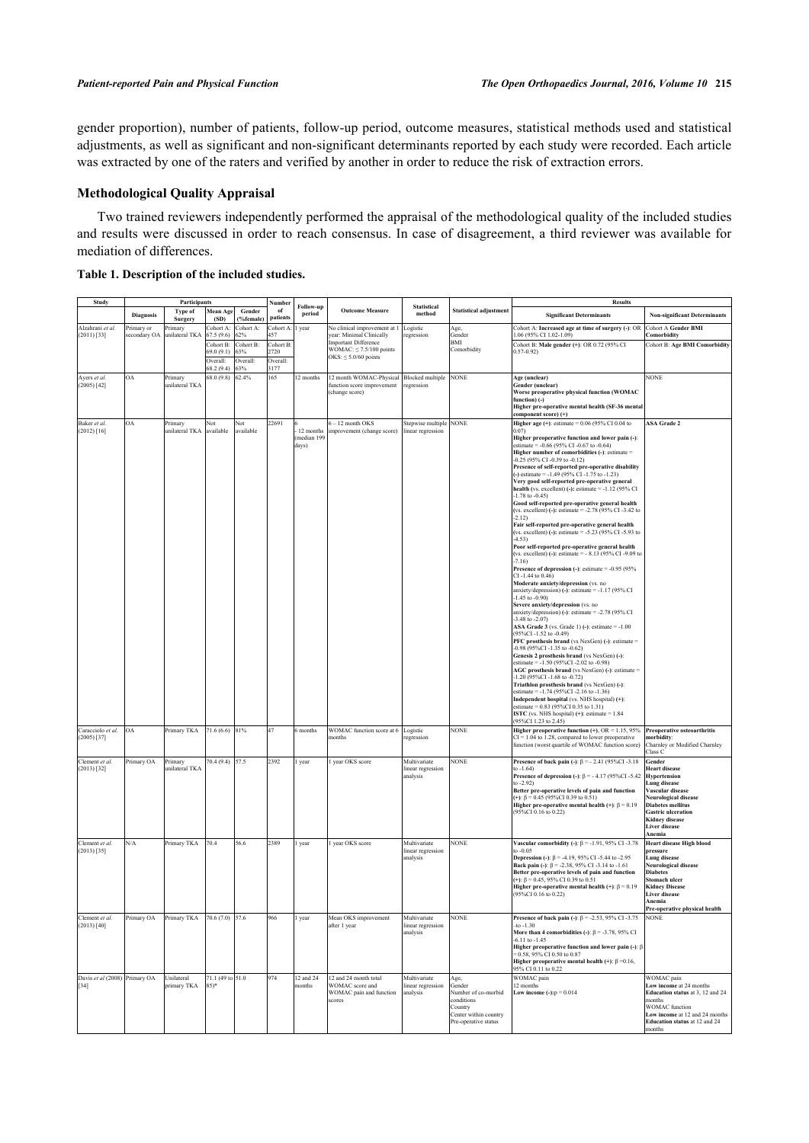gender proportion), number of patients, follow-up period, outcome measures, statistical methods used and statistical adjustments, as well as significant and non-significant determinants reported by each study were recorded. Each article was extracted by one of the raters and verified by another in order to reduce the risk of extraction errors.

# **Methodological Quality Appraisal**

Two trained reviewers independently performed the appraisal of the methodological quality of the included studies and results were discussed in order to reach consensus. In case of disagreement, a third reviewer was available for mediation of differences.

# <span id="page-2-0"></span>**Table 1. Description of the included studies.**

| Study                                   |                  | Participants              |                              |                     | Number           | Follow-up                         |                                                                                          | <b>Statistical</b>                            |                                                                                                                 | <b>Results</b>                                                                                                                                                                                                                                                                                                                                                                                                                                                                                                                                                                                                                                                                                                                                                                                                                                                                                                                                                                                                                                                                                                                                                                                                                                                                                                                                                                                                                                                                                                                                                                                                                                                                                                                                                                                             |                                                                                                                                                                                                                                |
|-----------------------------------------|------------------|---------------------------|------------------------------|---------------------|------------------|-----------------------------------|------------------------------------------------------------------------------------------|-----------------------------------------------|-----------------------------------------------------------------------------------------------------------------|------------------------------------------------------------------------------------------------------------------------------------------------------------------------------------------------------------------------------------------------------------------------------------------------------------------------------------------------------------------------------------------------------------------------------------------------------------------------------------------------------------------------------------------------------------------------------------------------------------------------------------------------------------------------------------------------------------------------------------------------------------------------------------------------------------------------------------------------------------------------------------------------------------------------------------------------------------------------------------------------------------------------------------------------------------------------------------------------------------------------------------------------------------------------------------------------------------------------------------------------------------------------------------------------------------------------------------------------------------------------------------------------------------------------------------------------------------------------------------------------------------------------------------------------------------------------------------------------------------------------------------------------------------------------------------------------------------------------------------------------------------------------------------------------------------|--------------------------------------------------------------------------------------------------------------------------------------------------------------------------------------------------------------------------------|
|                                         | <b>Diagnosis</b> | Type of<br>Surgery        | Mean Age<br>(SD)             | Gender<br>(%female) | of<br>patients   | period                            | <b>Outcome Measure</b>                                                                   | method                                        | <b>Statistical adjustment</b>                                                                                   | <b>Significant Determinants</b>                                                                                                                                                                                                                                                                                                                                                                                                                                                                                                                                                                                                                                                                                                                                                                                                                                                                                                                                                                                                                                                                                                                                                                                                                                                                                                                                                                                                                                                                                                                                                                                                                                                                                                                                                                            | <b>Non-significant Determinants</b>                                                                                                                                                                                            |
| Alzahrani et al.                        | Primary or       | Primary                   | Cohort A:                    | Cohort A:           | Cohort A:        | year                              | No clinical improvement at 1                                                             | Logistic                                      | Age,                                                                                                            | Cohort A: Increased age at time of surgery (-): OR                                                                                                                                                                                                                                                                                                                                                                                                                                                                                                                                                                                                                                                                                                                                                                                                                                                                                                                                                                                                                                                                                                                                                                                                                                                                                                                                                                                                                                                                                                                                                                                                                                                                                                                                                         | Cohort A Gender BMI                                                                                                                                                                                                            |
| $(2011)$ [33]                           | secondary OA     | unilateral TKA            | 67.5(9.6)                    | 52%                 | 457              |                                   | year: Minimal Clinically<br>Important Difference                                         | egression                                     | Gender<br>BMI                                                                                                   | 1.06 (95% CI 1.02-1.09)<br>Cohort B: Male gender (+): OR 0.72 (95% CI                                                                                                                                                                                                                                                                                                                                                                                                                                                                                                                                                                                                                                                                                                                                                                                                                                                                                                                                                                                                                                                                                                                                                                                                                                                                                                                                                                                                                                                                                                                                                                                                                                                                                                                                      | Comorbidity                                                                                                                                                                                                                    |
|                                         |                  |                           | Cohort B:<br>69.0(9.1)       | Cohort B:<br>63%    | Cohort B<br>2720 |                                   | $WOMAC: < 7.5/100$ points                                                                |                                               | Comorbidity                                                                                                     | $0.57 - 0.92$                                                                                                                                                                                                                                                                                                                                                                                                                                                                                                                                                                                                                                                                                                                                                                                                                                                                                                                                                                                                                                                                                                                                                                                                                                                                                                                                                                                                                                                                                                                                                                                                                                                                                                                                                                                              | Cohort B: Age BMI Comorbidity                                                                                                                                                                                                  |
|                                         |                  |                           | Overall:<br>68.2 (9.4)       | Overall:<br>63%     | Overall:<br>3177 |                                   | $OKS: \leq 5.0/60$ points                                                                |                                               |                                                                                                                 |                                                                                                                                                                                                                                                                                                                                                                                                                                                                                                                                                                                                                                                                                                                                                                                                                                                                                                                                                                                                                                                                                                                                                                                                                                                                                                                                                                                                                                                                                                                                                                                                                                                                                                                                                                                                            |                                                                                                                                                                                                                                |
| Ayers et al.<br>(2005) [42]             | OA               | Primary<br>unilateral TKA | 68.0 (9.8)                   | 62.4%               | 165              | 12 months                         | 12 month WOMAC-Physical Blocked multiple<br>function score improvement<br>(change score) | regression                                    | <b>NONE</b>                                                                                                     | Age (unclear)<br>Gender (unclear)<br>Worse preoperative physical function (WOMAC<br>function) (-)<br>Higher pre-operative mental health (SF-36 mental                                                                                                                                                                                                                                                                                                                                                                                                                                                                                                                                                                                                                                                                                                                                                                                                                                                                                                                                                                                                                                                                                                                                                                                                                                                                                                                                                                                                                                                                                                                                                                                                                                                      | <b>NONE</b>                                                                                                                                                                                                                    |
|                                         |                  |                           |                              |                     |                  |                                   |                                                                                          |                                               |                                                                                                                 | component score) (+)                                                                                                                                                                                                                                                                                                                                                                                                                                                                                                                                                                                                                                                                                                                                                                                                                                                                                                                                                                                                                                                                                                                                                                                                                                                                                                                                                                                                                                                                                                                                                                                                                                                                                                                                                                                       |                                                                                                                                                                                                                                |
| Baker et al.<br>$(2012)$ [16]           | OA               | Primary<br>unilateral TKA | Not<br>available             | Not<br>available    | 22691            | 12 months<br>(median 199<br>days) | $6 - 12$ month OKS<br>improvement (change score)                                         | Stepwise multiple<br>linear regression        | <b>NONE</b>                                                                                                     | <b>Higher age</b> (+): estimate = $0.06$ (95% CI 0.04 to<br>0.07<br>Higher preoperative function and lower pain (-):<br>estimate = -0.66 (95% CI -0.67 to -0.64)<br>Higher number of comorbidities (-): estimate =<br>-0.25 (95% CI-0.39 to -0.12)<br>Presence of self-reported pre-operative disability<br>(-) estimate = $-1.49$ (95% CI $-1.75$ to $-1.23$ )<br>Very good self-reported pre-operative general<br>health (vs. excellent) (-): estimate = $-1.12$ (95% CI<br>$-1.78$ to $-0.45$ )<br>Good self-reported pre-operative general health<br>(vs. excellent) (-): estimate = -2.78 (95% CI-3.42 to<br>$-2.12$<br>Fair self-reported pre-operative general health<br>(vs. excellent) (-): estimate = $-5.23$ (95% CI -5.93 to<br>$-4.53$<br>Poor self-reported pre-operative general health<br>(vs. excellent) (-): estimate = - 8.13 (95% CI-9.09 to<br>$-7.16$<br>Presence of depression (-): estimate = $-0.95$ (95%<br>CI-1.44 to 0.46)<br>Moderate anxiety/depression (vs. no<br>anxiety/depression) (-): estimate = $-1.17$ (95% CI<br>$-1.45$ to $-0.90$ )<br>Severe anxiety/depression (vs. no<br>anxiety/depression) (-): estimate = -2.78 (95% CI<br>$-3.48$ to $-2.07$ )<br>ASA Grade $3$ (vs. Grade 1) (-): estimate = -1.00<br>(95%CI-1.52 to -0.49)<br>PFC prosthesis brand (vs NexGen) (-): estimate =<br>-0.98 (95%CI-1.35 to -0.62)<br>Genesis 2 prosthesis brand (vs NexGen) (-):<br>estimate = -1.50 (95%CI-2.02 to -0.98)<br>AGC prosthesis brand (vs NexGen) (-): estimate =<br>$-1.20$ (95%CI -1.68 to -0.72)<br>Triathlon prosthesis brand (vs NexGen) (-):<br>estimate = -1.74 (95%CI-2.16 to -1.36)<br>Independent hospital (vs. NHS hospital) (+):<br>estimate = 0.83 (95%CI 0.35 to 1.31)<br>ISTC (vs. NHS hospital) $(+)$ : estimate = 1.84<br>(95%CI 1.23 to 2.45) | <b>ASA Grade 2</b>                                                                                                                                                                                                             |
| Caracciolo et al.<br>$(2005)$ [37]      | ЮA               | Primary TKA               | 71.6 (6.6) 81%               |                     | 47               | 6 months                          | WOMAC function score at 6<br>nonths                                                      | Logistic<br>egression                         | <b>NONE</b>                                                                                                     | Higher preoperative function $(+)$ , $OR = 1.15$ , $95\%$<br>$CI = 1.04$ to 1.28, compared to lower preoperative<br>function (worst quartile of WOMAC function score)                                                                                                                                                                                                                                                                                                                                                                                                                                                                                                                                                                                                                                                                                                                                                                                                                                                                                                                                                                                                                                                                                                                                                                                                                                                                                                                                                                                                                                                                                                                                                                                                                                      | Preoperative osteoarthritis<br>morbidity:<br>Charnley or Modified Chamley<br>Class C                                                                                                                                           |
| Clement et al.<br>$(2013)$ [32]         | Primary OA       | Primary<br>unilateral TKA | 70.4 (9.4) 57.5              |                     | 2392             | 1 year                            | year OKS score                                                                           | Multivariate<br>linear regression<br>analysis | <b>NONE</b>                                                                                                     | Presence of back pain (-): $β = -2.41$ (95%CI -3.18)<br>to $-1.64$ )<br>Presence of depression (-): $β = -4.17 (95% CI - 5.42)$<br>to $-2.92$ )<br>Better pre-operative levels of pain and function<br>(+): $\beta$ = 0.45 (95%CI 0.39 to 0.51)<br>Higher pre-operative mental health (+): $\beta = 0.19$<br>(95%CI 0.16 to 0.22)                                                                                                                                                                                                                                                                                                                                                                                                                                                                                                                                                                                                                                                                                                                                                                                                                                                                                                                                                                                                                                                                                                                                                                                                                                                                                                                                                                                                                                                                          | Gender<br><b>Heart disease</b><br>Hypertension<br>Lung disease<br>Vascular disease<br>Neurological disease<br><b>Diabetes mellitus</b><br><b>Gastric</b> ulceration<br><b>Kidney disease</b><br><b>Liver disease</b><br>Anemia |
| Clement et al.<br>$(2013)$ [35]         | N/A              | Primary TKA               | 70.4                         | 56.6                | 2389             | 1 year                            | year OKS score                                                                           | Multivariate<br>linear regression<br>analysis | <b>NONE</b>                                                                                                     | Vascular comorbidity (-): $\beta$ = -1.91, 95% CI -3.78<br>to $-0.05$<br><b>Depression (-):</b> $\beta$ = -4.19, 95% CI -5.44 to -2.95<br>Back pain (-): $\beta$ = -2.38, 95% CI -3.14 to -1.61<br>Better pre-operative levels of pain and function<br>(+): $\beta$ = 0.45, 95% CI 0.39 to 0.51<br>Higher pre-operative mental health (+): $\beta = 0.19$<br>(95%CI 0.16 to 0.22)                                                                                                                                                                                                                                                                                                                                                                                                                                                                                                                                                                                                                                                                                                                                                                                                                                                                                                                                                                                                                                                                                                                                                                                                                                                                                                                                                                                                                          | <b>Heart disease High blood</b><br>pressure<br>Lung disease<br>Neurological disease<br><b>Diabetes</b><br><b>Stomach ulcer</b><br><b>Kidney Disease</b><br><b>Liver disease</b><br>Anemia<br>re-operative physical health      |
| Clement et al.<br>$(2013)$ [40]         | Primary OA       | Primary TKA               | 70.6(7.0)                    | 57.6                | 966              | year                              | Mean OKS improvement<br>after 1 year                                                     | Multivariate<br>linear regression<br>analysis | <b>NONE</b>                                                                                                     | Presence of back pain (-): $β = -2.53$ , 95% CI -3.75<br>$-$ to $-1.30$<br>More than 4 comorbidities (-): $\beta$ = -3.78, 95% CI<br>$-6.11$ to $-1.45$<br>Higher preoperative function and lower pain (-): $\beta$<br>$= 0.58$ , 95% CI 0.50 to 0.87<br>Higher preoperative mental health (+): $\beta = 0.16$ ,<br>95% CI 0.11 to 0.22                                                                                                                                                                                                                                                                                                                                                                                                                                                                                                                                                                                                                                                                                                                                                                                                                                                                                                                                                                                                                                                                                                                                                                                                                                                                                                                                                                                                                                                                    | <b>NONE</b>                                                                                                                                                                                                                    |
| Davis et al (2008) Primary OA<br>$[34]$ |                  | Unilateral<br>primary TKA | 71.1 (49 to 51.0)<br>$85)$ * |                     | 974              | 12 and 24<br>months               | 12 and 24 month total<br>WOMAC score and<br>WOMAC pain and function<br>scores            | Multivariate<br>linear regression<br>analysis | Age,<br>Gender<br>Number of co-morbid<br>conditions<br>Country<br>Center within country<br>Pre-operative status | WOMAC pain<br>12 months<br>Low income $(-):p = 0.014$                                                                                                                                                                                                                                                                                                                                                                                                                                                                                                                                                                                                                                                                                                                                                                                                                                                                                                                                                                                                                                                                                                                                                                                                                                                                                                                                                                                                                                                                                                                                                                                                                                                                                                                                                      | WOMAC pain<br>Low income at 24 months<br>Education status at 3, 12 and 24<br>months<br>WOMAC function<br>Low income at 12 and 24 months<br>Education status at 12 and 24<br>months                                             |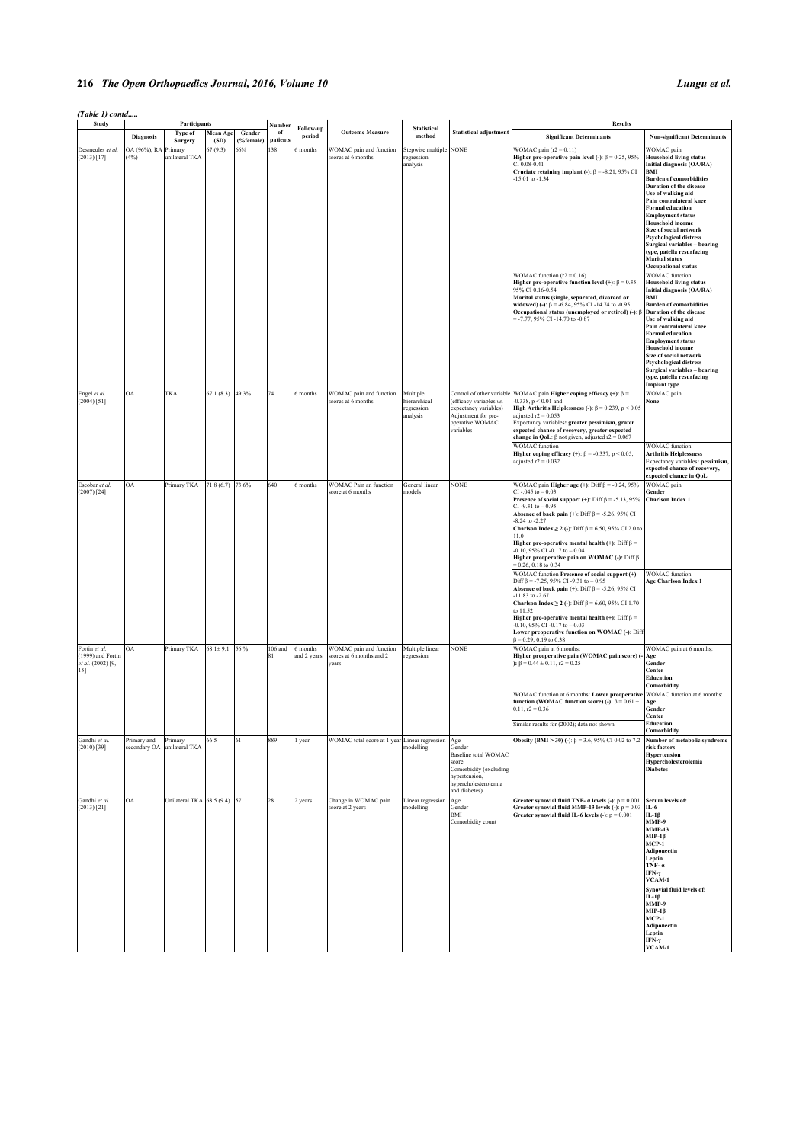# **216** *The Open Orthopaedics Journal, 2016, Volume 10 Lungu et al.*

*(Table 1) contd.....*

| Study                                                          |                         | Participants                                |                  |                  | Number                |                         |                                                                         |                                                           |                                                                                                                                           | <b>Results</b>                                                                                                                                                                                                                                                                                                                                                                                                                                                                                                                                                   |                                                                                                                                                                                                                                                                                                                                                                                                                                                                                                                                                                                                                                                                                                                                                        |
|----------------------------------------------------------------|-------------------------|---------------------------------------------|------------------|------------------|-----------------------|-------------------------|-------------------------------------------------------------------------|-----------------------------------------------------------|-------------------------------------------------------------------------------------------------------------------------------------------|------------------------------------------------------------------------------------------------------------------------------------------------------------------------------------------------------------------------------------------------------------------------------------------------------------------------------------------------------------------------------------------------------------------------------------------------------------------------------------------------------------------------------------------------------------------|--------------------------------------------------------------------------------------------------------------------------------------------------------------------------------------------------------------------------------------------------------------------------------------------------------------------------------------------------------------------------------------------------------------------------------------------------------------------------------------------------------------------------------------------------------------------------------------------------------------------------------------------------------------------------------------------------------------------------------------------------------|
|                                                                | <b>Diagnosis</b>        | Type of                                     | <b>Mean Age</b>  | Gender           |                       | period                  |                                                                         | method                                                    |                                                                                                                                           | <b>Significant Determinants</b>                                                                                                                                                                                                                                                                                                                                                                                                                                                                                                                                  | <b>Non-significant Determinants</b>                                                                                                                                                                                                                                                                                                                                                                                                                                                                                                                                                                                                                                                                                                                    |
| Desmeules et al.<br>(2013) [17]                                | OA (96%), RA<br>$4\%$ ) | <b>Surgery</b><br>Primary<br>unilateral TKA | (SD)<br>67(9.3)  | (%female)<br>66% | of<br>patients<br>138 | Follow-up<br>months     | <b>Outcome Measure</b><br>WOMAC pain and function<br>scores at 6 months | Statistical<br>Stepwise multiple<br>egression<br>analysis | <b>Statistical adjustment</b><br><b>NONE</b>                                                                                              | WOMAC pain $(r2 = 0.11)$<br>Higher pre-operative pain level (-): $\beta$ = 0.25, 95%<br>CI 0.08-0.41<br>Cruciate retaining implant (-): $\beta$ = -8.21, 95% CI<br>$-15.01$ to $-1.34$<br>WOMAC function $(r2 = 0.16)$<br>Higher pre-operative function level (+): $\beta$ = 0.35.<br>95% CI 0.16-0.54<br>Marital status (single, separated, divorced or<br>widowed) (-): $\beta$ = -6.84, 95% CI -14.74 to -0.95<br>Occupational status (unemployed or retired) (-): $\beta$ Duration of the disease<br>= -7.77, 95% CI -14.70 to -0.87                         | WOMAC pain<br><b>Household living status</b><br>Initial diagnosis (OA/RA)<br>BMI<br><b>Burden of comorbidities</b><br><b>Duration of the disease</b><br>Use of walking aid<br>Pain contralateral knee<br><b>Formal education</b><br><b>Employment status</b><br><b>Household</b> income<br>Size of social network<br><b>Psychological distress</b><br>Surgical variables - bearing<br>type, patella resurfacing<br><b>Marital status</b><br><b>Occupational status</b><br>WOMAC function<br>Household living status<br>Initial diagnosis (OA/RA)<br>BMI<br><b>Burden of comorbidities</b><br>Use of walking aid<br>Pain contralateral knee<br><b>Formal</b> education<br><b>Employment status</b><br><b>Household</b> income<br>Size of social network |
|                                                                |                         |                                             |                  |                  |                       |                         |                                                                         |                                                           |                                                                                                                                           |                                                                                                                                                                                                                                                                                                                                                                                                                                                                                                                                                                  | <b>Psychological distress</b><br>Surgical variables - bearing                                                                                                                                                                                                                                                                                                                                                                                                                                                                                                                                                                                                                                                                                          |
| Engel et al.<br>$(2004)$ [51]                                  | OA                      | TKA                                         | 67.1 (8.3) 49.3% |                  | 74                    | 6 months                | WOMAC pain and function<br>scores at 6 months                           | Multiple<br>hierarchical<br>regression<br>analysis        | Control of other variable<br>(efficacy variables vs.<br>expectancy variables)<br>Adjustment for pre-<br>operative WOMAC<br>variables      | WOMAC pain Higher coping efficacy (+): $\beta$ =<br>$-0.338$ , $p < 0.01$ and<br>High Arthritis Helplessness (-): $\beta = 0.239$ , $p < 0.05$<br>adjusted $r2 = 0.053$<br>Expectancy variables: greater pessimism, grater<br>expected chance of recovery, greater expected<br>change in QoL: $\beta$ not given, adjusted r2 = 0.067<br>WOMAC function<br>Higher coping efficacy (+): $\beta$ = -0.337, p < 0.05,<br>adjusted $r2 = 0.032$                                                                                                                       | type, patella resurfacing<br>Implant type<br>WOMAC pain<br>None<br>WOMAC function<br><b>Arthritis Helplessness</b><br>Expectancy variables: pessimism,<br>expected chance of recovery,<br>expected chance in QoL                                                                                                                                                                                                                                                                                                                                                                                                                                                                                                                                       |
| Escobar et al.<br>$(2007)$ [24]                                | OA                      | Primary TKA                                 | 71.8(6.7)        | 73.6%            | 640                   | 6 months                | WOMAC Pain an function<br>score at 6 months                             | General linear<br>models                                  | <b>NONE</b>                                                                                                                               | WOMAC pain Higher age (+): Diff $\beta$ = -0.24, 95%<br>$CI - 0.045$ to $-0.03$<br>Presence of social support (+): Diff $\beta$ = -5.13, 95%<br>$CI - 9.31$ to $-0.95$<br>Absence of back pain (+): Diff $\beta$ = -5.26, 95% CI<br>-8.24 to -2.27<br><b>Charlson Index ≥ 2 (-)</b> : Diff $β = 6.50$ , 95% CI 2.0 to<br>110<br>Higher pre-operative mental health (+): Diff $\beta$ =<br>$-0.10$ , 95% CI $-0.17$ to $-0.04$<br>Higher preoperative pain on WOMAC (-): Diff $\beta$<br>$= 0.26, 0.18$ to 0.34<br>WOMAC function Presence of social support (+): | WOMAC pain<br>Gender<br><b>Charlson Index 1</b><br>WOMAC function                                                                                                                                                                                                                                                                                                                                                                                                                                                                                                                                                                                                                                                                                      |
|                                                                |                         |                                             |                  |                  |                       |                         |                                                                         |                                                           |                                                                                                                                           | Diff $\beta$ = -7.25, 95% CI -9.31 to -0.95<br>Absence of back pain (+): Diff $\beta$ = -5.26, 95% CI<br>-11.83 to -2.67<br>Charlson Index ≥ 2 (-): Diff $β = 6.60, 95%$ CI 1.70<br>to 11.52<br>Higher pre-operative mental health (+): Diff $\beta$ =<br>$-0.10$ , 95% CI $-0.17$ to $-0.03$<br>Lower preoperative function on WOMAC (-): Diff<br>$\beta$ = 0.29, 0.19 to 0.38                                                                                                                                                                                  | Age Charlson Index 1                                                                                                                                                                                                                                                                                                                                                                                                                                                                                                                                                                                                                                                                                                                                   |
| Fortin et al.<br>(1999) and Fortin<br>et al. (2002) [9,<br>15] | OA                      | Primary TKA                                 | $68.1 \pm 9.1$   | 56 %             | $106$ and<br>81       | 6 months<br>and 2 years | WOMAC pain and function<br>scores at 6 months and 2<br>vears            | Multiple linear<br>regression                             | <b>NONE</b>                                                                                                                               | WOMAC pain at 6 months:<br>Higher preoperative pain (WOMAC pain score) (- Age<br>$\left  \cdot \right $ = 0.44 $\pm$ 0.11, r2 = 0.25                                                                                                                                                                                                                                                                                                                                                                                                                             | WOMAC pain at 6 months:<br>Gender<br>Center<br>Education<br>Comorbidity                                                                                                                                                                                                                                                                                                                                                                                                                                                                                                                                                                                                                                                                                |
|                                                                |                         |                                             |                  |                  |                       |                         |                                                                         |                                                           |                                                                                                                                           | WOMAC function at 6 months: Lower preoperative<br>function (WOMAC function score) (-): $\beta = 0.61 \pm$<br>$0.11$ , r2 = 0.36<br>Similar results for (2002); data not shown                                                                                                                                                                                                                                                                                                                                                                                    | WOMAC function at 6 months:<br>Age<br>Gender<br>Center<br>Education                                                                                                                                                                                                                                                                                                                                                                                                                                                                                                                                                                                                                                                                                    |
| Gandhi et al.<br>$(2010)$ [39]                                 | Primary and             | Primary<br>secondary OA unilateral TKA      | 66.5             | 61               | 889                   | 1 year                  | WOMAC total score at 1 year Linear regression                           | modelling                                                 | Age<br>Gender<br><b>Baseline</b> total WOMAC<br>score<br>Comorbidity (excluding<br>hypertension,<br>hypercholesterolemia<br>and diabetes) | Obesity (BMI > 30) (-): $\beta$ = 3.6, 95% CI 0.02 to 7.2                                                                                                                                                                                                                                                                                                                                                                                                                                                                                                        | `omorbidity<br>Number of metabolic syndrome<br>risk factors<br>Hypertension<br>Hypercholesterolemia<br><b>Diabetes</b>                                                                                                                                                                                                                                                                                                                                                                                                                                                                                                                                                                                                                                 |
| Gandhi et al.<br>(2013) [21]                                   | OA                      | Unilateral TKA 68.5 (9.4) 57                |                  |                  | 28                    | 2 years                 | Change in WOMAC pain<br>score at 2 years                                | Linear regression<br>modelling                            | Age<br>Gender<br>BMI<br>Comorbidity count                                                                                                 | Greater synovial fluid TNF- $\alpha$ levels (-): $p = 0.001$<br>Greater synovial fluid MMP-13 levels (-): $p = 0.03$ IL-6<br>Greater synovial fluid IL-6 levels (-): $p = 0.001$                                                                                                                                                                                                                                                                                                                                                                                 | Serum levels of:<br>IL-1β<br>MMP-9<br><b>MMP-13</b><br>$MIP-1\beta$<br>$MCP-1$<br>Adiponectin<br>Leptin<br>TNF-a<br>IFN- $\gamma$<br>VCAM-1<br>Synovial fluid levels of:<br>IL-1β<br>MMP-9<br>$MIP-1\beta$<br>MCP-1<br>Adiponectin<br>Leptin<br>IFN-γ<br>VCAM-1                                                                                                                                                                                                                                                                                                                                                                                                                                                                                        |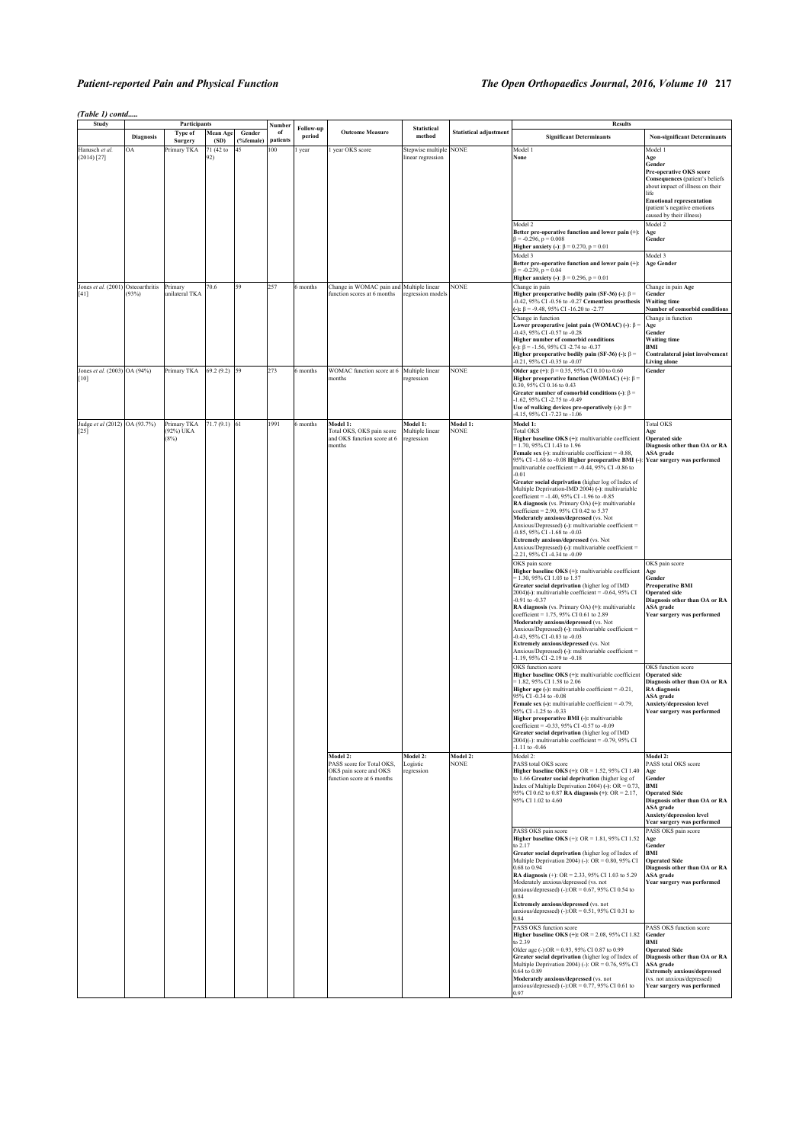#### *(Table 1) contd.....*

| Study                                      |                  | Participants                     |                         |                     | Number         | Follow-up |                                                                                               | <b>Statistical</b>                        |                               | <b>Results</b>                                                                                                                                                                                                                                                                                                                                                                                                                                                                                                                                                                                                                                                                                                                                                                                                                                    |                                                                                                                                                                                                                   |
|--------------------------------------------|------------------|----------------------------------|-------------------------|---------------------|----------------|-----------|-----------------------------------------------------------------------------------------------|-------------------------------------------|-------------------------------|---------------------------------------------------------------------------------------------------------------------------------------------------------------------------------------------------------------------------------------------------------------------------------------------------------------------------------------------------------------------------------------------------------------------------------------------------------------------------------------------------------------------------------------------------------------------------------------------------------------------------------------------------------------------------------------------------------------------------------------------------------------------------------------------------------------------------------------------------|-------------------------------------------------------------------------------------------------------------------------------------------------------------------------------------------------------------------|
|                                            | <b>Diagnosis</b> | Type of                          | <b>Mean Age</b><br>(SD) | Gender<br>(%female) | of<br>patients | period    | <b>Outcome Measure</b>                                                                        | method                                    | <b>Statistical adjustment</b> | <b>Significant Determinants</b>                                                                                                                                                                                                                                                                                                                                                                                                                                                                                                                                                                                                                                                                                                                                                                                                                   | <b>Non-significant Determinants</b>                                                                                                                                                                               |
| Hanusch et al.                             | OA               | <b>Surgery</b><br>Primary TKA    | 71 (42 to               | 45                  | 100            | year      | 1 year OKS score                                                                              | Stepwise multiple                         | <b>NONE</b>                   | Model 1                                                                                                                                                                                                                                                                                                                                                                                                                                                                                                                                                                                                                                                                                                                                                                                                                                           | Model 1                                                                                                                                                                                                           |
| (2014) [27]                                |                  |                                  | 92)                     |                     |                |           |                                                                                               | linear regression                         |                               | None                                                                                                                                                                                                                                                                                                                                                                                                                                                                                                                                                                                                                                                                                                                                                                                                                                              | Age<br>Gender<br><b>Pre-operative OKS score</b><br>Consequences (patient's beliefs<br>about impact of illness on their<br>life<br><b>Emotional representation</b><br>(patient's negative emotions                 |
|                                            |                  |                                  |                         |                     |                |           |                                                                                               |                                           |                               | Model 2<br>Better pre-operative function and lower pain (+):<br>$\beta$ = -0.296, p = 0.008<br><b>Higher anxiety</b> (-): $β = 0.270$ , $p = 0.01$                                                                                                                                                                                                                                                                                                                                                                                                                                                                                                                                                                                                                                                                                                | caused by their illness)<br>Model 2<br>Age<br>Gender                                                                                                                                                              |
|                                            |                  |                                  |                         |                     |                |           |                                                                                               |                                           |                               | Model 3<br>Better pre-operative function and lower pain (+):<br>$\beta$ = -0.239, p = 0.04<br>Higher anxiety (-): $\beta$ = 0.296, p = 0.01                                                                                                                                                                                                                                                                                                                                                                                                                                                                                                                                                                                                                                                                                                       | Model 3<br>Age Gender                                                                                                                                                                                             |
| Jones et al. (2001) Osteoarthritis<br>[41] | (93%)            | Primary<br>unilateral TKA        | 70.6                    | 59                  | 257            | 6 months  | Change in WOMAC pain and Multiple linear<br>function scores at 6 months                       | regression models                         | <b>NONE</b>                   | Change in pain<br>Higher preoperative bodily pain (SF-36) (-): $\beta$ =<br>-0.42, 95% CI -0.56 to -0.27 Cementless prosthesis                                                                                                                                                                                                                                                                                                                                                                                                                                                                                                                                                                                                                                                                                                                    | Change in pain Age<br>Gender<br><b>Waiting time</b>                                                                                                                                                               |
|                                            |                  |                                  |                         |                     |                |           |                                                                                               |                                           |                               | (-): $\beta$ = -9.48, 95% CI -16.20 to -2.77                                                                                                                                                                                                                                                                                                                                                                                                                                                                                                                                                                                                                                                                                                                                                                                                      | Number of comorbid conditions                                                                                                                                                                                     |
|                                            |                  |                                  |                         |                     |                |           |                                                                                               |                                           |                               | Change in function<br>Lower preoperative joint pain (WOMAC) (-): $\beta$ =<br>-0.43, 95% CI -0.57 to -0.28<br>Higher number of comorbid conditions<br>(-): $\beta$ = -1.56, 95% CI -2.74 to -0.37<br>Higher preoperative bodily pain (SF-36) (-): $\beta$ =<br>-0.21, 95% CI -0.35 to -0.07                                                                                                                                                                                                                                                                                                                                                                                                                                                                                                                                                       | Change in function<br>Age<br>Gender<br><b>Waiting time</b><br>BMI<br>Contralateral joint involvement<br><b>Living alone</b>                                                                                       |
| Jones et al. (2003) OA (94%)               |                  | Primary TKA                      | 69.2 (9.2) 59           |                     | 273            | 6 months  | WOMAC function score at 6                                                                     | Multiple linear                           | <b>NONE</b>                   | Older age (+): $\beta$ = 0.35, 95% CI 0.10 to 0.60                                                                                                                                                                                                                                                                                                                                                                                                                                                                                                                                                                                                                                                                                                                                                                                                | Gender                                                                                                                                                                                                            |
| $[10]$                                     |                  |                                  |                         |                     |                |           | months                                                                                        | regression                                |                               | Higher preoperative function (WOMAC) (+): $\beta$ =<br>0.30, 95% CI 0.16 to 0.43<br>Greater number of comorbid conditions (-): $\beta$ =<br>-1.62, 95% CI -2.75 to -0.49<br>Use of walking devices pre-operatively (-): $\beta$ =<br>-4.15, 95% CI-7.23 to -1.06                                                                                                                                                                                                                                                                                                                                                                                                                                                                                                                                                                                  |                                                                                                                                                                                                                   |
| Judge et al (2012) OA (93.7%)<br>$[25]$    |                  | Primary TKA<br>(92%) UKA<br>(8%) | $71.7(9.1)$ 61          |                     | 1991           | 6 months  | Model 1:<br>Total OKS, OKS pain score<br>and OKS function score at 6<br>months                | Model 1:<br>Multiple linear<br>regression | Model 1:<br><b>NONE</b>       | Model 1:<br><b>Total OKS</b><br>Higher baseline OKS (+): multivariable coefficient<br>= 1.70, 95% CI 1.43 to 1.96<br>Female sex $(-)$ : multivariable coefficient = -0.88,<br>95% CI-1.68 to -0.08 Higher preoperative BMI (-): Year surgery was performed<br>multivariable coefficient = -0.44, 95% CI -0.86 to<br>$-0.01$<br>Greater social deprivation (higher log of Index of<br>Multiple Deprivation-IMD 2004) (-): multivariable<br>coefficient = -1.40, 95% CI -1.96 to -0.85<br>RA diagnosis (vs. Primary OA) (+): multivariable<br>coefficient = 2.90, 95% CI 0.42 to 5.37<br>Moderately anxious/depressed (vs. Not<br>Anxious/Depressed) (-): multivariable coefficient =<br>-0.85, 95% CI-1.68 to -0.03<br>Extremely anxious/depressed (vs. Not<br>Anxious/Depressed) (-): multivariable coefficient =<br>-2.21, 95% CI -4.34 to -0.09 | <b>Total OKS</b><br>Age<br><b>Operated side</b><br>Diagnosis other than OA or RA<br>ASA grade                                                                                                                     |
|                                            |                  |                                  |                         |                     |                |           |                                                                                               |                                           |                               | OKS pain score<br>Higher baseline OKS (+): multivariable coefficient<br>= 1.30, 95% CI 1.03 to 1.57<br>Greater social deprivation (higher log of IMD<br>2004)(-): multivariable coefficient = -0.64, 95% CI<br>$-0.91$ to $-0.37$<br>RA diagnosis (vs. Primary OA) (+): multivariable<br>coefficient = 1.75, 95% CI 0.61 to 2.89<br>Moderately anxious/depressed (vs. Not<br>Anxious/Depressed) (-): multivariable coefficient =<br>-0.43, 95% CI -0.83 to -0.03<br>Extremely anxious/depressed (vs. Not<br>Anxious/Depressed) (-): multivariable coefficient =<br>-1.19, 95% CI -2.19 to -0.18                                                                                                                                                                                                                                                   | OKS pain score<br>Age<br>Gender<br><b>Preoperative BMI</b><br><b>Operated side</b><br>Diagnosis other than OA or RA<br>ASA grade<br>Year surgery was performed                                                    |
|                                            |                  |                                  |                         |                     |                |           |                                                                                               |                                           |                               | OKS function score<br>Higher baseline OKS (+): multivariable coefficient<br>= 1.82, 95% CI 1.58 to 2.06<br><b>Higher age (-):</b> multivariable coefficient = $-0.21$ ,<br>95% CI-0.34 to -0.08<br>Female sex (-): multivariable coefficient = $-0.79$ ,<br>95% CI-1.25 to -0.33<br>Higher preoperative BMI (-): multivariable<br>coefficient = -0.33, 95% CI -0.57 to -0.09<br>Greater social deprivation (higher log of IMD<br>$2004$ )(-): multivariable coefficient = -0.79, 95% CI<br>$-1.11$ to $-0.46$                                                                                                                                                                                                                                                                                                                                     | OKS function score<br><b>Operated side</b><br>Diagnosis other than OA or RA<br><b>RA</b> diagnosis<br>ASA grade<br><b>Anxiety/depression level</b><br>Year surgery was performed                                  |
|                                            |                  |                                  |                         |                     |                |           | Model 2:<br>PASS score for Total OKS,<br>OKS pain score and OKS<br>function score at 6 months | Model 2:<br>Logistic<br>regression        | Model 2:<br>NONE.             | Model 2:<br>PASS total OKS score<br>Higher baseline OKS (+): $OR = 1.52$ , 95% CI 1.40<br>to 1.66 Greater social deprivation (higher log of<br>Index of Multiple Deprivation 2004) (-): $OR = 0.73$ ,<br>95% CI 0.62 to 0.87 RA diagnosis (+): OR = 2.17,<br>95% CI 1.02 to 4.60                                                                                                                                                                                                                                                                                                                                                                                                                                                                                                                                                                  | Model 2:<br>PASS total OKS score<br>Age<br>Gender<br>BMI<br><b>Operated Side</b><br>Diagnosis other than OA or RA<br>ASA grade<br><b>Anxiety/depression level</b><br>Year surgery was performed                   |
|                                            |                  |                                  |                         |                     |                |           |                                                                                               |                                           |                               | PASS OKS pain score<br>Higher baseline OKS (+): OR = 1.81, 95% CI 1.52<br>to 2.17<br>Greater social deprivation (higher log of Index of<br>Multiple Deprivation 2004) (-): OR = $0.80$ , 95% CI<br>0.68 to 0.94<br>RA diagnosis (+): OR = 2.33, 95% CI 1.03 to 5.29<br>Moderately anxious/depressed (vs. not<br>anxious/depressed) (-):OR = 0.67, 95% CI 0.54 to<br>0.84<br>Extremely anxious/depressed (vs. not<br>anxious/depressed) (-): $OR = 0.51$ , 95% CI 0.31 to<br>0.84                                                                                                                                                                                                                                                                                                                                                                  | PASS OKS pain score<br>Age<br>Gender<br>BMI<br><b>Operated Side</b><br>Diagnosis other than OA or RA<br><b>ASA</b> grade<br>Year surgery was performed                                                            |
|                                            |                  |                                  |                         |                     |                |           |                                                                                               |                                           |                               | PASS OKS function score<br>Higher baseline OKS (+): $OR = 2.08$ , 95% CI 1.82<br>to 2.39<br>Older age (-):OR = 0.93, 95% CI 0.87 to 0.99<br>Greater social deprivation (higher log of Index of<br>Multiple Deprivation 2004) (-): OR = $0.76$ , 95% CI<br>0.64 to 0.89<br>Moderately anxious/depressed (vs. not<br>anxious/depressed) (-): $OR = 0.77$ , 95% CI 0.61 to<br>0.97                                                                                                                                                                                                                                                                                                                                                                                                                                                                   | PASS OKS function score<br>Gender<br>BMI<br><b>Operated Side</b><br>Diagnosis other than OA or RA<br>ASA grade<br><b>Extremely anxious/depressed</b><br>(vs. not anxious/depressed)<br>Year surgery was performed |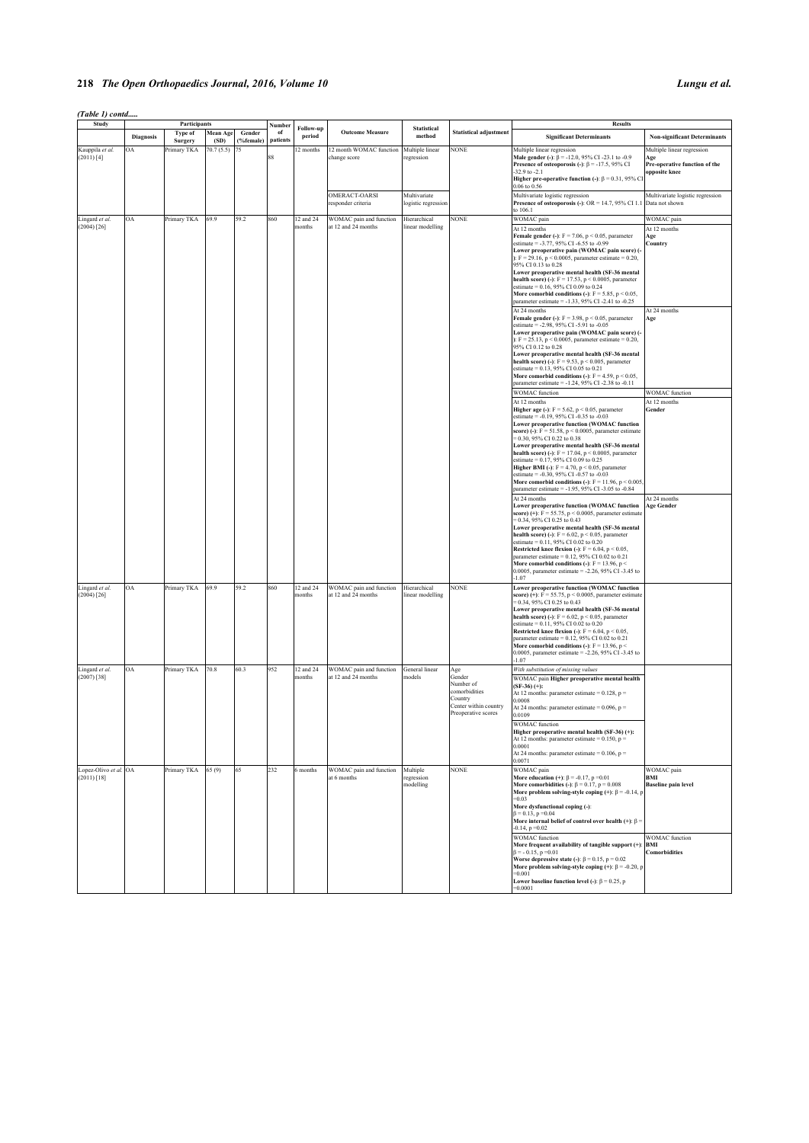# **218** *The Open Orthopaedics Journal, 2016, Volume 10 Lungu et al.*

| (Table 1) contd |
|-----------------|
|-----------------|

| Study                                  |                  | Participants       |                  |                     | Number         | Follow-up           |                                                | <b>Statistical</b>                  |                                                                                                        | <b>Results</b>                                                                                                                                                                                                                                                                                                                                                                                                                                                                                                                                                                                                                                                    |                                                                                     |
|----------------------------------------|------------------|--------------------|------------------|---------------------|----------------|---------------------|------------------------------------------------|-------------------------------------|--------------------------------------------------------------------------------------------------------|-------------------------------------------------------------------------------------------------------------------------------------------------------------------------------------------------------------------------------------------------------------------------------------------------------------------------------------------------------------------------------------------------------------------------------------------------------------------------------------------------------------------------------------------------------------------------------------------------------------------------------------------------------------------|-------------------------------------------------------------------------------------|
|                                        | <b>Diagnosis</b> | Type of<br>Surgery | Mean Age<br>(SD) | Gender<br>(%female) | of<br>patients | period              | <b>Outcome Measure</b>                         | method                              | <b>Statistical adjustment</b>                                                                          | <b>Significant Determinants</b>                                                                                                                                                                                                                                                                                                                                                                                                                                                                                                                                                                                                                                   | <b>Non-significant Determinants</b>                                                 |
| Kauppila et al.<br>(2011) [4]          | OA               | Primary TKA        | 70.7(5.5)        | 75                  | 88             | 12 months           | 12 month WOMAC function<br>change score        | Multiple linear<br>regression       | <b>NONE</b>                                                                                            | Multiple linear regression<br>Male gender (-): $\beta$ = -12.0, 95% CI -23.1 to -0.9<br>Presence of osteoporosis (-): $\beta$ = -17.5, 95% CI<br>$-32.9$ to $-2.1$<br>Higher pre-operative function (-): $\beta$ = 0.31, 95% CI<br>$0.06$ to $0.56$                                                                                                                                                                                                                                                                                                                                                                                                               | Multiple linear regression<br>Age<br>Pre-operative function of the<br>opposite knee |
|                                        |                  |                    |                  |                     |                |                     | OMERACT-OARSI<br>responder criteria            | Multivariate<br>logistic regression |                                                                                                        | Multivariate logistic regression<br><b>Presence of osteoporosis (-):</b> OR = 14.7, 95% CI 1.1 Data not shown<br>to 106.1                                                                                                                                                                                                                                                                                                                                                                                                                                                                                                                                         | Multivariate logistic regression                                                    |
| Lingard et al.                         | OA               | Primary TKA        | 69.9             | 59.2                | 860            | 12 and 24           | WOMAC pain and function                        | Hierarchical                        | <b>NONE</b>                                                                                            | WOMAC pain                                                                                                                                                                                                                                                                                                                                                                                                                                                                                                                                                                                                                                                        | WOMAC pain                                                                          |
| $(2004)$ [26]                          |                  |                    |                  |                     |                | months              | at 12 and 24 months                            | linear modelling                    |                                                                                                        | At 12 months<br>Female gender (-): $F = 7.06$ , $p < 0.05$ , parameter<br>estimate = -3.77, 95% CI -6.55 to -0.99<br>Lower preoperative pain (WOMAC pain score) (-<br>): $F = 29.16$ , $p < 0.0005$ , parameter estimate = 0.20,<br>95% CI 0.13 to 0.28<br>Lower preoperative mental health (SF-36 mental<br>health score) (-): $F = 17.53$ , $p < 0.0005$ , parameter<br>estimate = 0.16, 95% CI 0.09 to 0.24<br>More comorbid conditions (-): $F = 5.85$ , $p < 0.05$ ,<br>parameter estimate = -1.33, 95% CI -2.41 to -0.25                                                                                                                                    | At 12 months<br>Age<br>Country                                                      |
|                                        |                  |                    |                  |                     |                |                     |                                                |                                     |                                                                                                        | At 24 months<br>Female gender (-): $F = 3.98$ , $p < 0.05$ , parameter<br>estimate = -2.98, 95% CI -5.91 to -0.05<br>Lower preoperative pain (WOMAC pain score) (-<br>): $F = 25.13$ , $p < 0.0005$ , parameter estimate = 0.20,<br>95% CI 0.12 to 0.28<br>Lower preoperative mental health (SF-36 mental<br>health score) (-): $F = 9.53$ , $p < 0.005$ , parameter<br>estimate = 0.13, 95% CI 0.05 to 0.21<br>More comorbid conditions (-): $F = 4.59$ , $p < 0.05$ ,<br>parameter estimate = -1.24, 95% CI -2.38 to -0.11                                                                                                                                      | At 24 months<br>Age                                                                 |
|                                        |                  |                    |                  |                     |                |                     |                                                |                                     |                                                                                                        | WOMAC function                                                                                                                                                                                                                                                                                                                                                                                                                                                                                                                                                                                                                                                    | WOMAC function                                                                      |
|                                        |                  |                    |                  |                     |                |                     |                                                |                                     |                                                                                                        | At 12 months<br>Higher age (-): $F = 5.62$ , $p < 0.05$ , parameter<br>estimate = -0.19, 95% CI -0.35 to -0.03<br>Lower preoperative function (WOMAC function<br>score) (-): $F = 51.58$ , $p < 0.0005$ , parameter estimate<br>= 0.30, 95% CI 0.22 to 0.38<br>Lower preoperative mental health (SF-36 mental<br>health score) (-): $F = 17.04$ , $p \le 0.0005$ , parameter<br>estimate = 0.17, 95% CI 0.09 to 0.25<br><b>Higher BMI</b> (-): $F = 4.70$ , $p < 0.05$ , parameter<br>estimate = -0.30, 95% CI -0.57 to -0.03<br>More comorbid conditions (-): $F = 11.96$ , $p < 0.005$                                                                          | At 12 months<br>Gender                                                              |
|                                        |                  |                    |                  |                     |                |                     |                                                |                                     |                                                                                                        | parameter estimate = $-1.95$ , $95\%$ CI $-3.05$ to $-0.84$<br>At 24 months<br>Lower preoperative function (WOMAC function                                                                                                                                                                                                                                                                                                                                                                                                                                                                                                                                        | At 24 months<br><b>Age Gender</b>                                                   |
|                                        |                  |                    |                  |                     |                |                     |                                                |                                     |                                                                                                        | score) (+): $F = 55.75$ , $p < 0.0005$ , parameter estimate<br>$= 0.34$ , 95% CI 0.25 to 0.43<br>Lower preoperative mental health (SF-36 mental<br>health score) (-): $F = 6.02$ , $p < 0.05$ , parameter<br>estimate = 0.11, 95% CI 0.02 to 0.20<br>Restricted knee flexion (-): $F = 6.04$ , $p < 0.05$ ,<br>parameter estimate = 0.12, 95% CI 0.02 to 0.21<br>More comorbid conditions (-): $F = 13.96$ , $p <$<br>0.0005, parameter estimate = -2.26, 95% CI -3.45 to<br>$-1.07$                                                                                                                                                                              |                                                                                     |
| Lingard et al.<br>$(2004)$ [26]        | OA               | Primary TKA        | 69.9             | 59.2                | 860            | 12 and 24<br>months | WOMAC pain and function<br>at 12 and 24 months | Hierarchical<br>linear modelling    | <b>NONE</b>                                                                                            | Lower preoperative function (WOMAC function<br>score) (+): $F = 55.75$ , $p < 0.0005$ , parameter estimate<br>= 0.34, 95% CI 0.25 to 0.43<br>Lower preoperative mental health (SF-36 mental<br>health score) (-): $F = 6.02$ , $p < 0.05$ , parameter<br>estimate = 0.11, 95% CI 0.02 to 0.20<br>Restricted knee flexion (-): $F = 6.04$ , $p \le 0.05$ ,<br>parameter estimate = $0.12$ , 95% CI 0.02 to 0.21<br>More comorbid conditions (-): $F = 13.96$ , $p <$<br>0.0005, parameter estimate = -2.26, 95% CI -3.45 to<br>$-1.07$                                                                                                                             |                                                                                     |
| Lingard et al.<br>$(2007)$ [38]        | OA               | Primary TKA        | 70.8             | 60.3                | 952            | 12 and 24<br>months | WOMAC pain and function<br>at 12 and 24 months | General linear<br>models            | Age<br>Gender<br>Number of<br>comorbidities<br>Country<br>Center within country<br>Preoperative scores | With substitution of missing values<br>WOMAC pain Higher preoperative mental health<br>$(SF-36)$ (+):<br>At 12 months: parameter estimate = $0.128$ , p =<br>0.0008<br>At 24 months: parameter estimate = $0.096$ , p =<br>0.0109<br>WOMAC function<br>Higher preoperative mental health (SF-36) (+):<br>At 12 months: parameter estimate = $0.150$ , p =<br>0.0001<br>At 24 months: parameter estimate = $0.106$ , p =<br>0.0071                                                                                                                                                                                                                                 |                                                                                     |
| Lopez-Olivo et al. OA<br>$(2011)$ [18] |                  | Primary TKA        | 65 (9)           | 65                  | 232            | 6 months            | WOMAC pain and function<br>at 6 months         | Multiple<br>regression<br>modelling | <b>NONE</b>                                                                                            | WOMAC pain<br>More education (+): $\beta$ = -0.17, p =0.01<br>More comorbidities (-): $\beta$ = 0.17, p = 0.008<br>More problem solving-style coping (+): $\beta$ = -0.14, p<br>$=0.03$<br>More dysfunctional coping (-):<br>$\beta = 0.13$ , p = 0.04<br>More internal belief of control over health (+): $\beta$ =<br>$-0.14$ , $p = 0.02$<br>WOMAC function<br>More frequent availability of tangible support (+): BMI<br>$\beta$ = - 0.15, p = 0.01<br>Worse depressive state (-): $\beta = 0.15$ , $p = 0.02$<br>More problem solving-style coping (+): $\beta$ = -0.20, p<br>$=0.001$<br>Lower baseline function level (-): $\beta = 0.25$ , p<br>$=0.0001$ | WOMAC pain<br>BMI<br><b>Baseline pain level</b><br>WOMAC function<br>Comorbidities  |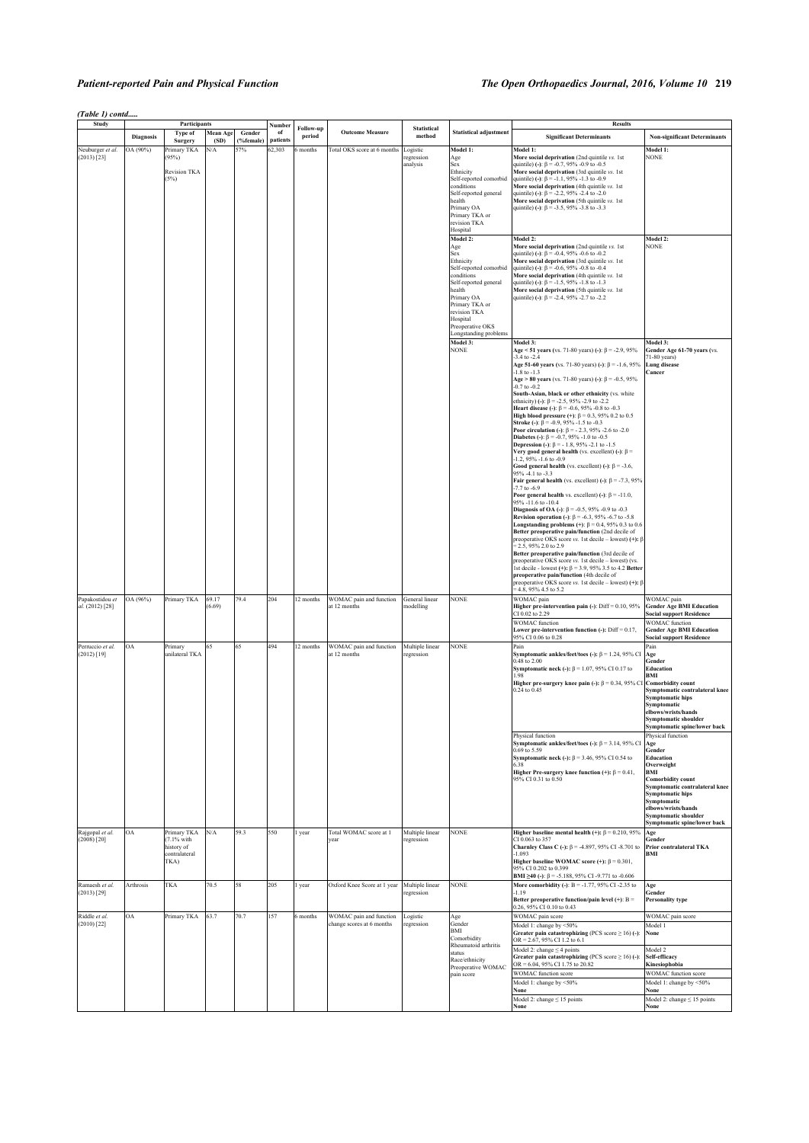*(Table 1) contd.....*

| Study                           |                  | Participants                |          |           | Number   |                     |                             |                              |                                      | <b>Results</b>                                                                                                      |                                                                    |
|---------------------------------|------------------|-----------------------------|----------|-----------|----------|---------------------|-----------------------------|------------------------------|--------------------------------------|---------------------------------------------------------------------------------------------------------------------|--------------------------------------------------------------------|
|                                 |                  | Type of                     | Mean Age | Gender    | of       | Follow-up<br>period | <b>Outcome Measure</b>      | <b>Statistical</b><br>method | <b>Statistical adjustment</b>        |                                                                                                                     |                                                                    |
|                                 | <b>Diagnosis</b> | Surgery                     | (SD)     | (%female) | patients |                     |                             |                              |                                      | <b>Significant Determinants</b>                                                                                     | <b>Non-significant Determinants</b>                                |
| Neuburger et al.<br>(2013) [23] | OA (90%)         | Primary TKA<br>(95%)        | N/A      | 57%       | 62,303   | months              | Total OKS score at 6 months | Logistic<br>regression       | Model 1:<br>Age                      | Model 1:<br>More social deprivation (2nd quintile vs. 1st                                                           | Model 1:<br><b>NONE</b>                                            |
|                                 |                  |                             |          |           |          |                     |                             | analysis                     | Sex                                  | quintile) (-): $\beta$ = -0.7, 95% -0.9 to -0.5                                                                     |                                                                    |
|                                 |                  | Revision TKA                |          |           |          |                     |                             |                              | Ethnicity                            | More social deprivation (3rd quintile vs. 1st                                                                       |                                                                    |
|                                 |                  | (5%)                        |          |           |          |                     |                             |                              | Self-reported comorbid<br>conditions | quintile) (-): $\beta$ = -1.1, 95% -1.3 to -0.9<br>More social deprivation (4th quintile vs. 1st                    |                                                                    |
|                                 |                  |                             |          |           |          |                     |                             |                              | Self-reported general                | quintile) (-): $\beta$ = -2.2, 95% -2.4 to -2.0                                                                     |                                                                    |
|                                 |                  |                             |          |           |          |                     |                             |                              | health<br>Primary OA                 | More social deprivation (5th quintile vs. 1st<br>quintile) (-): $\beta$ = -3.5, 95% -3.8 to -3.3                    |                                                                    |
|                                 |                  |                             |          |           |          |                     |                             |                              | Primary TKA or                       |                                                                                                                     |                                                                    |
|                                 |                  |                             |          |           |          |                     |                             |                              | revision TKA<br>Hospital             |                                                                                                                     |                                                                    |
|                                 |                  |                             |          |           |          |                     |                             |                              | Model 2:                             | Model 2:                                                                                                            | Model 2:                                                           |
|                                 |                  |                             |          |           |          |                     |                             |                              | Age                                  | More social deprivation (2nd quintile vs. 1st                                                                       | <b>NONE</b>                                                        |
|                                 |                  |                             |          |           |          |                     |                             |                              | Sex<br>Ethnicity                     | quintile) (-): $\beta$ = -0.4, 95% -0.6 to -0.2<br>More social deprivation (3rd quintile vs. 1st                    |                                                                    |
|                                 |                  |                             |          |           |          |                     |                             |                              | Self-reported comorbid               | quintile) (-): $\beta$ = -0.6, 95% -0.8 to -0.4                                                                     |                                                                    |
|                                 |                  |                             |          |           |          |                     |                             |                              | conditions<br>Self-reported general  | More social deprivation (4th quintile vs. 1st<br>quintile) (-): $\beta$ = -1.5, 95% -1.8 to -1.3                    |                                                                    |
|                                 |                  |                             |          |           |          |                     |                             |                              | health                               | More social deprivation (5th quintile vs. 1st                                                                       |                                                                    |
|                                 |                  |                             |          |           |          |                     |                             |                              | Primary OA<br>Primary TKA or         | quintile) (-): $\beta$ = -2.4, 95% -2.7 to -2.2                                                                     |                                                                    |
|                                 |                  |                             |          |           |          |                     |                             |                              | revision TKA                         |                                                                                                                     |                                                                    |
|                                 |                  |                             |          |           |          |                     |                             |                              | Hospital<br>Preoperative OKS         |                                                                                                                     |                                                                    |
|                                 |                  |                             |          |           |          |                     |                             |                              | Longstanding problems                |                                                                                                                     |                                                                    |
|                                 |                  |                             |          |           |          |                     |                             |                              | Model 3:                             | Model 3:                                                                                                            | Model 3:                                                           |
|                                 |                  |                             |          |           |          |                     |                             |                              | <b>NONE</b>                          | Age < 51 years (vs. 71-80 years) (-): $\beta$ = -2.9, 95%<br>$-3.4$ to $-2.4$                                       | Gender Age 61-70 years (vs.<br>71-80 years)                        |
|                                 |                  |                             |          |           |          |                     |                             |                              |                                      | Age 51-60 years (vs. 71-80 years) (-): $\beta$ = -1.6, 95%                                                          | <b>Lung</b> disease                                                |
|                                 |                  |                             |          |           |          |                     |                             |                              |                                      | $-1.8$ to $-1.3$<br>Age > 80 years (vs. 71-80 years) (-): $\beta$ = -0.5, 95%                                       | Cancer                                                             |
|                                 |                  |                             |          |           |          |                     |                             |                              |                                      | $-0.7$ to $-0.2$                                                                                                    |                                                                    |
|                                 |                  |                             |          |           |          |                     |                             |                              |                                      | South-Asian, black or other ethnicity (vs. white<br>ethnicity) (-): $\beta$ = -2.5, 95% -2.9 to -2.2                |                                                                    |
|                                 |                  |                             |          |           |          |                     |                             |                              |                                      | <b>Heart disease (-)</b> : $\beta$ = -0.6, 95% -0.8 to -0.3                                                         |                                                                    |
|                                 |                  |                             |          |           |          |                     |                             |                              |                                      | High blood pressure (+): $\beta$ = 0.3, 95% 0.2 to 0.5                                                              |                                                                    |
|                                 |                  |                             |          |           |          |                     |                             |                              |                                      | <b>Stroke (-):</b> $\beta$ = -0.9, 95% -1.5 to -0.3<br>Poor circulation (-): $\beta$ = - 2.3, 95% -2.6 to -2.0      |                                                                    |
|                                 |                  |                             |          |           |          |                     |                             |                              |                                      | <b>Diabetes</b> (-): $\beta$ = -0.7, 95% -1.0 to -0.5                                                               |                                                                    |
|                                 |                  |                             |          |           |          |                     |                             |                              |                                      | <b>Depression</b> (-): $\beta$ = - 1.8, 95% -2.1 to -1.5<br>Very good general health (vs. excellent) (-): $\beta$ = |                                                                    |
|                                 |                  |                             |          |           |          |                     |                             |                              |                                      | -1.2, 95% -1.6 to -0.9                                                                                              |                                                                    |
|                                 |                  |                             |          |           |          |                     |                             |                              |                                      | Good general health (vs. excellent) (-): $\beta$ = -3.6,<br>95% -4.1 to -3.3                                        |                                                                    |
|                                 |                  |                             |          |           |          |                     |                             |                              |                                      | Fair general health (vs. excellent) (-): $\beta$ = -7.3, 95%                                                        |                                                                    |
|                                 |                  |                             |          |           |          |                     |                             |                              |                                      | $-7.7$ to $-6.9$<br>Poor general health vs. excellent) (-): $\beta$ = -11.0,                                        |                                                                    |
|                                 |                  |                             |          |           |          |                     |                             |                              |                                      | 95% -11.6 to -10.4                                                                                                  |                                                                    |
|                                 |                  |                             |          |           |          |                     |                             |                              |                                      | Diagnosis of OA (-): $\beta$ = -0.5, 95% -0.9 to -0.3<br>Revision operation (-): $β = -6.3, 95% -6.7$ to $-5.8$     |                                                                    |
|                                 |                  |                             |          |           |          |                     |                             |                              |                                      | Longstanding problems (+): $\beta$ = 0.4, 95% 0.3 to 0.6                                                            |                                                                    |
|                                 |                  |                             |          |           |          |                     |                             |                              |                                      | Better preoperative pain/function (2nd decile of<br>preoperative OKS score vs. 1st decile - lowest) (+): $\beta$    |                                                                    |
|                                 |                  |                             |          |           |          |                     |                             |                              |                                      | 2.5, 95% 2.0 to 2.9                                                                                                 |                                                                    |
|                                 |                  |                             |          |           |          |                     |                             |                              |                                      | Better preoperative pain/function (3rd decile of<br>preoperative OKS score vs. 1st decile - lowest) (vs.            |                                                                    |
|                                 |                  |                             |          |           |          |                     |                             |                              |                                      | 1st decile - lowest (+): $\beta$ = 3.9, 95% 3.5 to 4.2 Better                                                       |                                                                    |
|                                 |                  |                             |          |           |          |                     |                             |                              |                                      | preoperative pain/function (4th decile of<br>preoperative OKS score vs. 1st decile - lowest) (+): $\beta$           |                                                                    |
|                                 |                  |                             |          |           |          |                     |                             |                              |                                      | 4.8, 95% 4.5 to 5.2                                                                                                 |                                                                    |
| Papakostidou et                 | OA (96%)         | Primary TKA                 | 69.17    | 79.4      | 204      | 12 months           | WOMAC pain and function     | General linear               | <b>NONE</b>                          | WOMAC pain                                                                                                          | WOMAC pain                                                         |
| al. (2012) [28]                 |                  |                             | (6.69)   |           |          |                     | at 12 months                | modelling                    |                                      | Higher pre-intervention pain (-): $Diff = 0.10, 95\%$<br>CI 0.02 to 2.29                                            | <b>Gender Age BMI Education</b><br><b>Social support Residence</b> |
|                                 |                  |                             |          |           |          |                     |                             |                              |                                      | WOMAC function                                                                                                      | WOMAC function                                                     |
|                                 |                  |                             |          |           |          |                     |                             |                              |                                      | Lower pre-intervention function (-): $Diff = 0.17$ ,<br>95% CI 0.06 to 0.28                                         | <b>Gender Age BMI Education</b><br><b>Social support Residence</b> |
| Perruccio et al.                | ОA               | Primary                     | 65       | 65        | 494      | 12 months           | WOMAC pain and function     | Multiple linear              | <b>NONE</b>                          | Pain                                                                                                                | Pain                                                               |
| (2012) [19]                     |                  | unilateral TKA              |          |           |          |                     | at 12 months                | regression                   |                                      | Symptomatic ankles/feet/toes (-): $\beta$ = 1.24, 95% CI                                                            | Age                                                                |
|                                 |                  |                             |          |           |          |                     |                             |                              |                                      | 0.48 to 2.00<br><b>Symptomatic neck (-):</b> $β = 1.07, 95%$ CI 0.17 to                                             | Gender<br>Education                                                |
|                                 |                  |                             |          |           |          |                     |                             |                              |                                      | 1.98                                                                                                                | BMI                                                                |
|                                 |                  |                             |          |           |          |                     |                             |                              |                                      | Higher pre-surgery knee pain (-): $\beta$ = 0.34, 95% CI Comorbidity count<br>0.24 to 0.45                          | Symptomatic contralateral knee                                     |
|                                 |                  |                             |          |           |          |                     |                             |                              |                                      |                                                                                                                     | <b>Symptomatic hips</b>                                            |
|                                 |                  |                             |          |           |          |                     |                             |                              |                                      |                                                                                                                     | Symptomatic<br>elbows/wrists/hands                                 |
|                                 |                  |                             |          |           |          |                     |                             |                              |                                      |                                                                                                                     | <b>Symptomatic shoulder</b>                                        |
|                                 |                  |                             |          |           |          |                     |                             |                              |                                      |                                                                                                                     | Symptomatic spine/lower back                                       |
|                                 |                  |                             |          |           |          |                     |                             |                              |                                      | Physical function<br>Symptomatic ankles/feet/toes (-): $\beta$ = 3.14, 95% CI Age                                   | Physical function                                                  |
|                                 |                  |                             |          |           |          |                     |                             |                              |                                      | 0.69 to 5.59<br>Symptomatic neck (-): $\beta$ = 3.46, 95% CI 0.54 to                                                | Gender<br><b>Education</b>                                         |
|                                 |                  |                             |          |           |          |                     |                             |                              |                                      | 6.38                                                                                                                | Overweight                                                         |
|                                 |                  |                             |          |           |          |                     |                             |                              |                                      | Higher Pre-surgery knee function (+): $\beta$ = 0.41,<br>95% CI 0.31 to 0.50                                        | BMI<br>Comorbidity count                                           |
|                                 |                  |                             |          |           |          |                     |                             |                              |                                      |                                                                                                                     | Symptomatic contralateral knee                                     |
|                                 |                  |                             |          |           |          |                     |                             |                              |                                      |                                                                                                                     | <b>Symptomatic hips</b><br>Symptomatic                             |
|                                 |                  |                             |          |           |          |                     |                             |                              |                                      |                                                                                                                     | elbows/wrists/hands                                                |
|                                 |                  |                             |          |           |          |                     |                             |                              |                                      |                                                                                                                     | <b>Symptomatic shoulder</b><br>Symptomatic spine/lower back        |
| Rajgopal et al.                 | OA               | Primary TKA                 | N/A      | 59.3      | 550      | l year              | Total WOMAC score at 1      | Multiple linear              | <b>NONE</b>                          | Higher baseline mental health (+): $\beta = 0.210, 95\%$                                                            | Age                                                                |
| $(2008)$ $[20]$                 |                  | $(7.1\%$ with               |          |           |          |                     | vear                        | regression                   |                                      | CI 0.063 to 357                                                                                                     | Gender                                                             |
|                                 |                  | history of<br>contralateral |          |           |          |                     |                             |                              |                                      | Charnley Class C (-): $\beta$ = -4.897, 95% CI -8.701 to<br>$-1.093$                                                | Prior contralateral TKA<br>BMI                                     |
|                                 |                  | TKA)                        |          |           |          |                     |                             |                              |                                      | Higher baseline WOMAC score (+): $\beta$ = 0.301,                                                                   |                                                                    |
|                                 |                  |                             |          |           |          |                     |                             |                              |                                      | 95% CI 0.202 to 0.399<br><b>BMI ≥40 (-)</b> : $\beta$ = -5.188, 95% CI -9.771 to -0.606                             |                                                                    |
| Ramaesh et al.                  | Arthrosis        | TKA                         | 70.5     | 58        | 205      | l year              | Oxford Knee Score at 1 year | Multiple linear              | <b>NONE</b>                          | More comorbidity (-): $B = -1.77$ , 95% CI -2.35 to                                                                 | Age                                                                |
| (2013) [29]                     |                  |                             |          |           |          |                     |                             | regression                   |                                      | $-1.19$<br>Better preoperative function/pain level $(+)$ : B =                                                      | Gender                                                             |
|                                 |                  |                             |          |           |          |                     |                             |                              |                                      | 0.26, 95% CI 0.10 to 0.43                                                                                           | <b>Personality type</b>                                            |
| Riddle et al.                   | OA               | Primary TKA                 | 63.7     | 70.7      | 157      | 6 months            | WOMAC pain and function     | Logistic                     | Age                                  | WOMAC pain score                                                                                                    | WOMAC pain score                                                   |
| $(2010)$ [22]                   |                  |                             |          |           |          |                     | change scores at 6 months   | regression                   | Gender<br>BMI                        | Model 1: change by <50%                                                                                             | Model 1                                                            |
|                                 |                  |                             |          |           |          |                     |                             |                              | Comorbidity                          | Greater pain catastrophizing (PCS score $\geq 16$ ) (-):<br>OR = 2.67, 95% CI 1.2 to 6.1                            | None                                                               |
|                                 |                  |                             |          |           |          |                     |                             |                              | Rheumatoid arthritis<br>status       | Model 2: change $\leq$ 4 points                                                                                     | Model 2                                                            |
|                                 |                  |                             |          |           |          |                     |                             |                              | Race/ethnicity                       | Greater pain catastrophizing (PCS score $\geq$ 16) (-):<br>OR = 6.04, 95% CI 1.75 to 20.82                          | Self-efficacy<br>Kinesiophobia                                     |
|                                 |                  |                             |          |           |          |                     |                             |                              | Preoperative WOMAC<br>pain score     | WOMAC function score                                                                                                | WOMAC function score                                               |
|                                 |                  |                             |          |           |          |                     |                             |                              |                                      | Model 1: change by <50%                                                                                             | Model 1: change by <50%                                            |
|                                 |                  |                             |          |           |          |                     |                             |                              |                                      | None                                                                                                                | None                                                               |
|                                 |                  |                             |          |           |          |                     |                             |                              |                                      | Model 2: change $\leq 15$ points<br>None                                                                            | Model 2: change $\leq 15$ points<br>None                           |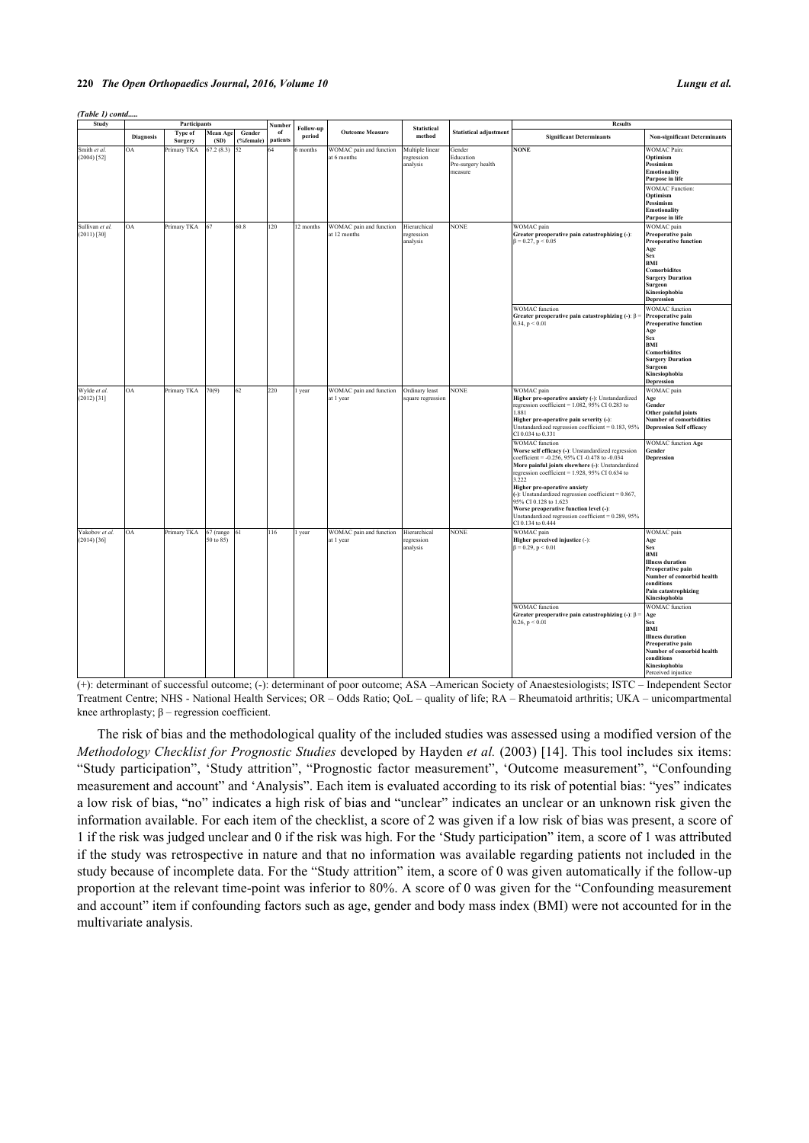*(Table 1) contd.....*

| Study                            |                  | Participants       |                        |                     | Number         | Follow-up |                                         | Statistical                               |                                                      | <b>Results</b>                                                                                                                                                                                                                                                                                                                                                                                                                                                                              |                                                                                                                                                                                                    |
|----------------------------------|------------------|--------------------|------------------------|---------------------|----------------|-----------|-----------------------------------------|-------------------------------------------|------------------------------------------------------|---------------------------------------------------------------------------------------------------------------------------------------------------------------------------------------------------------------------------------------------------------------------------------------------------------------------------------------------------------------------------------------------------------------------------------------------------------------------------------------------|----------------------------------------------------------------------------------------------------------------------------------------------------------------------------------------------------|
|                                  | <b>Diagnosis</b> | Type of<br>Surgery | Mean Age<br>(SD)       | Gender<br>(%female) | of<br>patients | period    | <b>Outcome Measure</b>                  | method                                    | <b>Statistical adjustment</b>                        | <b>Significant Determinants</b>                                                                                                                                                                                                                                                                                                                                                                                                                                                             | <b>Non-significant Determinants</b>                                                                                                                                                                |
| Smith et al.<br>$(2004)$ [52]    | ОA               | Primary TKA        | 67.2(8.3)              | 52                  | 64             | 6 months  | WOMAC pain and function<br>at 6 months  | Multiple linear<br>regression<br>analysis | Gender<br>Education<br>Pre-surgery health<br>measure | <b>NONE</b>                                                                                                                                                                                                                                                                                                                                                                                                                                                                                 | <b>WOMAC Pain:</b><br>Optimism<br>Pessimism<br><b>Emotionality</b><br>Purpose in life                                                                                                              |
|                                  |                  |                    |                        |                     |                |           |                                         |                                           |                                                      |                                                                                                                                                                                                                                                                                                                                                                                                                                                                                             | WOMAC Function:<br>Optimism<br>Pessimism<br>Emotionality<br>Purpose in life                                                                                                                        |
| Sullivan et al.<br>$(2011)$ [30] | OA               | Primary TKA        | 67                     | 60.8                | 120            | 12 months | WOMAC pain and function<br>at 12 months | Hierarchical<br>egression<br>analysis     | <b>NONE</b>                                          | WOMAC pain<br>Greater preoperative pain catastrophizing (-):<br>$\beta = 0.27$ , $p < 0.05$                                                                                                                                                                                                                                                                                                                                                                                                 | WOMAC pain<br>Preoperative pain<br><b>Preoperative function</b><br>Age<br>Sex<br>BMI<br>Comorbidites<br><b>Surgery Duration</b><br>Surgeon<br>Kinesiophobia<br><b>Depression</b>                   |
|                                  |                  |                    |                        |                     |                |           |                                         |                                           |                                                      | WOMAC function<br>Greater preoperative pain catastrophizing (-): $\beta$<br>$0.34, p \le 0.01$                                                                                                                                                                                                                                                                                                                                                                                              | <b>WOMAC</b> function<br>Preoperative pain<br><b>Preoperative function</b><br>Age<br>Sex<br>BMI<br><b>Comorbidites</b><br><b>Surgery Duration</b><br>Surgeon<br>Kinesiophobia<br><b>Depression</b> |
| Wylde et al.<br>$(2012)$ [31]    | OA               | Primary TKA        | 70(9)                  | 62                  | 220            | 1 year    | WOMAC pain and function<br>at 1 year    | Ordinary least<br>square regression       | <b>NONE</b>                                          | WOMAC pain<br>Higher pre-operative anxiety (-): Unstandardized<br>regression coefficient = $1.082$ , 95% CI 0.283 to<br>1.881<br>Higher pre-operative pain severity (-):<br>Unstandardized regression coefficient = $0.183,95\%$<br>CI 0.034 to 0.331                                                                                                                                                                                                                                       | WOMAC pain<br>Age<br>Gender<br>Other painful joints<br><b>Number of comorbidities</b><br><b>Depression Self efficacy</b>                                                                           |
|                                  |                  |                    |                        |                     |                |           |                                         |                                           |                                                      | WOMAC function<br>Worse self efficacy (-): Unstandardized regression<br>coefficient = -0.256, 95% CI -0.478 to -0.034<br>More painful joints elsewhere (-): Unstandardized<br>regression coefficient = $1.928$ , $95\%$ CI 0.634 to<br>3.222<br><b>Higher pre-operative anxiety</b><br>$(-)$ : Unstandardized regression coefficient = 0.867,<br>95% CI 0.128 to 1.623<br>Worse preoperative function level (-):<br>Unstandardized regression coefficient = 0.289, 95%<br>CI 0.134 to 0.444 | <b>WOMAC</b> function Age<br>Gender<br><b>Depression</b>                                                                                                                                           |
| Yakobov et al.<br>$(2014)$ [36]  | OA               | Primary TKA        | 67 (range<br>50 to 85) | 61                  | 116            | 1 year    | WOMAC pain and function<br>at 1 year    | Hierarchical<br>regression<br>analysis    | <b>NONE</b>                                          | WOMAC pain<br>Higher perceived injustice (-):<br>$\beta = 0.29$ , $p < 0.01$                                                                                                                                                                                                                                                                                                                                                                                                                | WOMAC pain<br>Age<br><b>Sex</b><br>BMI<br><b>Illness duration</b><br>Preoperative pain<br>Number of comorbid health<br>conditions<br>Pain catastrophizing<br>Kinesiophobia                         |
|                                  |                  |                    |                        |                     |                |           |                                         |                                           |                                                      | WOMAC function<br>Greater preoperative pain catastrophizing (-): $\beta$<br>$0.26$ , $p \le 0.01$                                                                                                                                                                                                                                                                                                                                                                                           | <b>WOMAC</b> function<br>Age<br>Sex<br>BMI<br><b>Illness</b> duration<br>Preoperative pain<br>Number of comorbid health<br>conditions<br>Kinesiophobia<br>Perceived injustice                      |

(+): determinant of successful outcome; (-): determinant of poor outcome; ASA –American Society of Anaestesiologists; ISTC – Independent Sector Treatment Centre; NHS - National Health Services; OR – Odds Ratio; QoL – quality of life; RA – Rheumatoid arthritis; UKA – unicompartmental knee arthroplasty;  $\beta$  – regression coefficient.

<span id="page-7-0"></span>The risk of bias and the methodological quality of the included studies was assessed using a modified version of the *Methodology Checklist for Prognostic Studies* developed by Hayden *et al.* (2003) [[14\]](#page-16-17). This tool includes six items: "Study participation", 'Study attrition", "Prognostic factor measurement", 'Outcome measurement", "Confounding measurement and account" and 'Analysis". Each item is evaluated according to its risk of potential bias: "yes" indicates a low risk of bias, "no" indicates a high risk of bias and "unclear" indicates an unclear or an unknown risk given the information available. For each item of the checklist, a score of 2 was given if a low risk of bias was present, a score of 1 if the risk was judged unclear and 0 if the risk was high. For the 'Study participation" item, a score of 1 was attributed if the study was retrospective in nature and that no information was available regarding patients not included in the study because of incomplete data. For the "Study attrition" item, a score of 0 was given automatically if the follow-up proportion at the relevant time-point was inferior to 80%. A score of 0 was given for the "Confounding measurement and account" item if confounding factors such as age, gender and body mass index (BMI) were not accounted for in the multivariate analysis.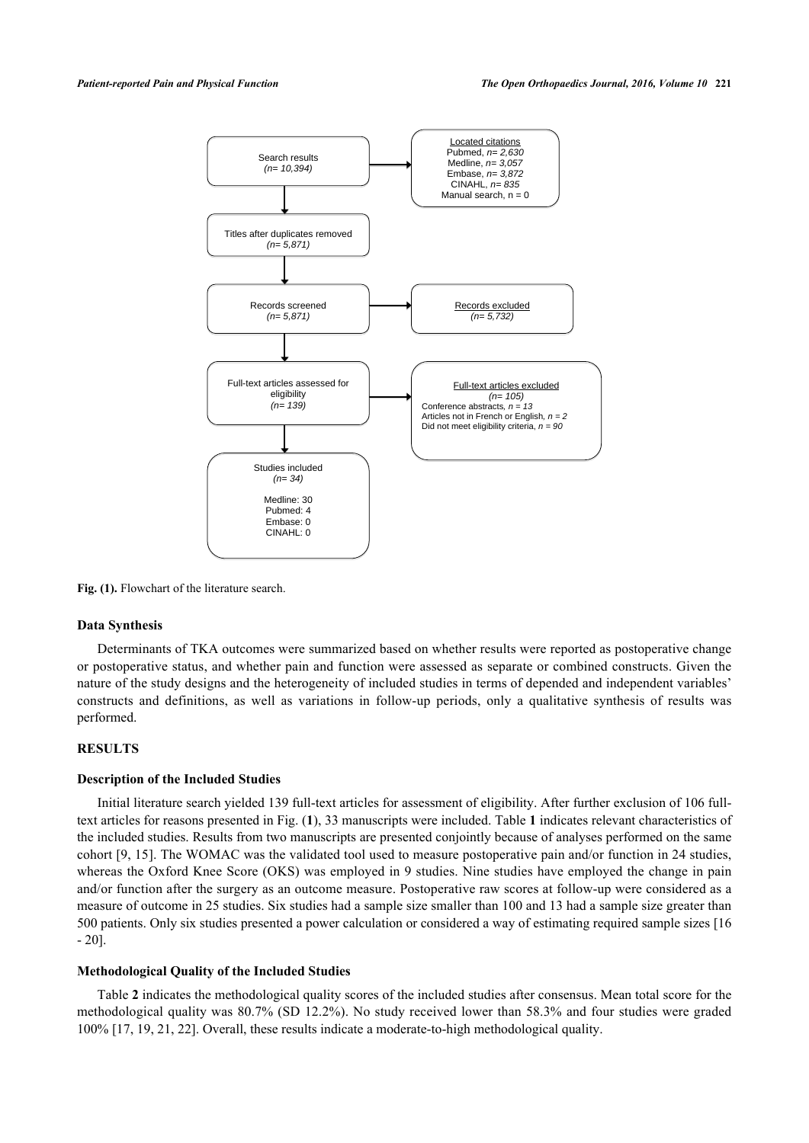

Fig. (1). Flowchart of the literature search.

#### **Data Synthesis**

Determinants of TKA outcomes were summarized based on whether results were reported as postoperative change or postoperative status, and whether pain and function were assessed as separate or combined constructs. Given the nature of the study designs and the heterogeneity of included studies in terms of depended and independent variables' constructs and definitions, as well as variations in follow-up periods, only a qualitative synthesis of results was performed.

# **RESULTS**

#### **Description of the Included Studies**

Initial literature search yielded 139 full-text articles for assessment of eligibility. After further exclusion of 106 fulltext articles for reasons presented in Fig. (**[1](#page-7-0)**), 33 manuscripts were included. Table **[1](#page-2-0)** indicates relevant characteristics of the included studies. Results from two manuscripts are presented conjointly because of analyses performed on the same cohort [[9,](#page-15-5) [15](#page-16-3)]. The WOMAC was the validated tool used to measure postoperative pain and/or function in 24 studies, whereas the Oxford Knee Score (OKS) was employed in 9 studies. Nine studies have employed the change in pain and/or function after the surgery as an outcome measure. Postoperative raw scores at follow-up were considered as a measure of outcome in 25 studies. Six studies had a sample size smaller than 100 and 13 had a sample size greater than 500 patients. Only six studies presented a power calculation or considered a way of estimating required sample sizes [[16](#page-16-0) - [20\]](#page-16-12).

# **Methodological Quality of the Included Studies**

Table **[2](#page-9-0)** indicates the methodological quality scores of the included studies after consensus. Mean total score for the methodological quality was 80.7% (SD 12.2%). No study received lower than 58.3% and four studies were graded 100% [[17,](#page-16-1) [19,](#page-16-11) [21,](#page-16-4) [22\]](#page-16-14). Overall, these results indicate a moderate-to-high methodological quality.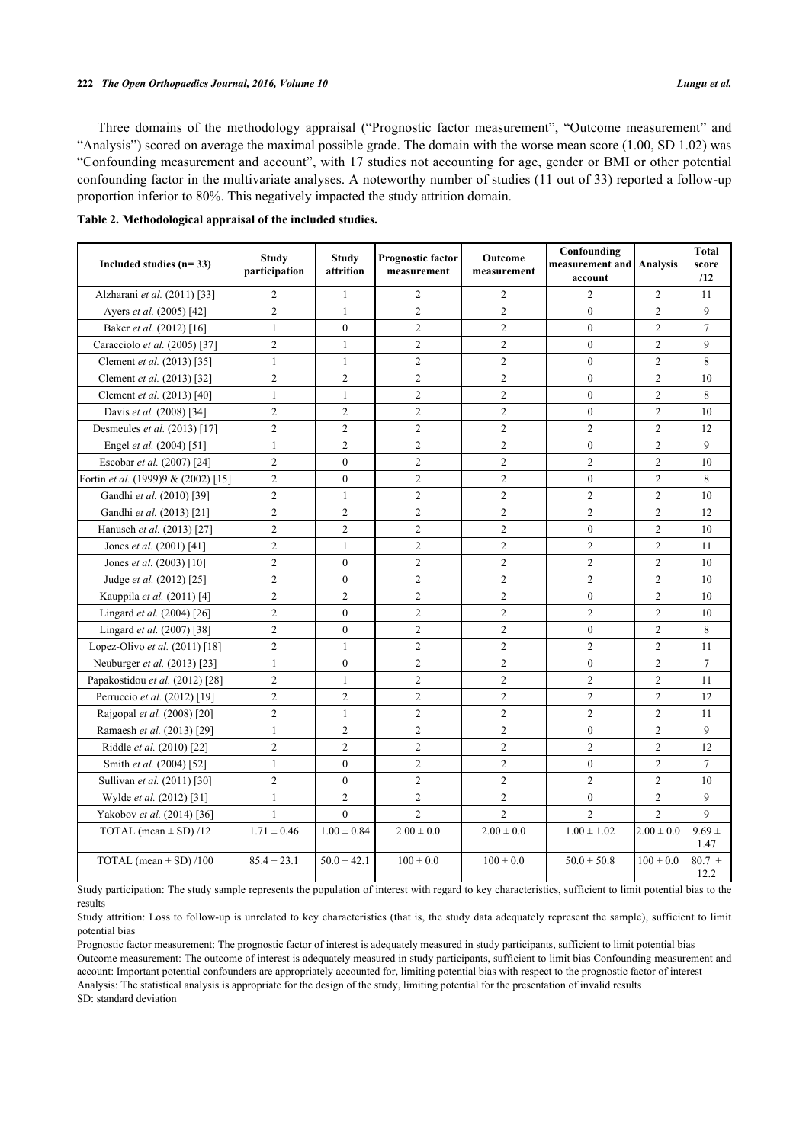Three domains of the methodology appraisal ("Prognostic factor measurement", "Outcome measurement" and "Analysis") scored on average the maximal possible grade. The domain with the worse mean score (1.00, SD 1.02) was "Confounding measurement and account", with 17 studies not accounting for age, gender or BMI or other potential confounding factor in the multivariate analyses. A noteworthy number of studies (11 out of 33) reported a follow-up proportion inferior to 80%. This negatively impacted the study attrition domain.

<span id="page-9-0"></span>**Table 2. Methodological appraisal of the included studies.**

| Included studies $(n=33)$           | Study<br>participation | <b>Study</b><br>attrition | Prognostic factor<br>measurement | Outcome<br>measurement | Confounding<br>measurement and Analysis<br>account |                | <b>Total</b><br>score<br>/12 |
|-------------------------------------|------------------------|---------------------------|----------------------------------|------------------------|----------------------------------------------------|----------------|------------------------------|
| Alzharani et al. (2011) [33]        | 2                      | 1                         | 2                                | 2                      | 2                                                  | $\overline{2}$ | 11                           |
| Ayers et al. (2005) [42]            | $\overline{2}$         | $\mathbf{1}$              | $\overline{2}$                   | $\overline{2}$         | $\overline{0}$                                     | $\overline{2}$ | 9                            |
| Baker et al. (2012) [16]            | $\mathbf{1}$           | $\mathbf{0}$              | $\overline{c}$                   | $\overline{c}$         | $\mathbf{0}$                                       | $\overline{2}$ | $\overline{7}$               |
| Caracciolo et al. (2005) [37]       | $\overline{2}$         | $\mathbf{1}$              | $\overline{2}$                   | $\overline{c}$         | $\mathbf{0}$                                       | $\overline{2}$ | 9                            |
| Clement et al. (2013) [35]          | $\mathbf{1}$           | $\mathbf{1}$              | $\overline{c}$                   | $\overline{c}$         | $\mathbf{0}$                                       | $\overline{c}$ | 8                            |
| Clement et al. (2013) [32]          | $\overline{c}$         | $\overline{2}$            | $\overline{2}$                   | $\overline{c}$         | $\overline{0}$                                     | $\overline{2}$ | 10                           |
| Clement et al. (2013) [40]          | $\mathbf{1}$           | $\mathbf{1}$              | $\overline{c}$                   | $\overline{c}$         | $\mathbf{0}$                                       | $\overline{2}$ | 8                            |
| Davis et al. (2008) [34]            | $\overline{c}$         | 2                         | $\overline{c}$                   | $\overline{c}$         | $\mathbf{0}$                                       | $\overline{c}$ | 10                           |
| Desmeules et al. (2013) [17]        | $\overline{c}$         | $\overline{2}$            | $\overline{c}$                   | $\overline{2}$         | $\overline{c}$                                     | $\overline{c}$ | 12                           |
| Engel et al. (2004) [51]            | $\mathbf{1}$           | 2                         | $\overline{c}$                   | $\overline{2}$         | $\mathbf{0}$                                       | $\overline{2}$ | 9                            |
| Escobar et al. (2007) [24]          | 2                      | $\boldsymbol{0}$          | $\overline{c}$                   | $\overline{c}$         | 2                                                  | $\overline{2}$ | 10                           |
| Fortin et al. (1999)9 & (2002) [15] | $\overline{2}$         | $\overline{0}$            | $\overline{c}$                   | $\overline{2}$         | $\mathbf{0}$                                       | $\overline{2}$ | 8                            |
| Gandhi et al. (2010) [39]           | $\overline{c}$         | $\mathbf{1}$              | $\overline{c}$                   | $\overline{c}$         | $\overline{c}$                                     | $\overline{c}$ | 10                           |
| Gandhi et al. (2013) [21]           | $\overline{c}$         | $\overline{c}$            | $\overline{c}$                   | $\overline{2}$         | $\overline{2}$                                     | $\overline{2}$ | 12                           |
| Hanusch et al. (2013) [27]          | $\overline{c}$         | $\overline{c}$            | $\overline{c}$                   | $\overline{2}$         | $\boldsymbol{0}$                                   | $\overline{2}$ | 10                           |
| Jones et al. (2001) [41]            | $\overline{c}$         | $\mathbf{1}$              | $\overline{2}$                   | $\overline{2}$         | $\overline{2}$                                     | $\overline{2}$ | 11                           |
| Jones et al. (2003) [10]            | $\overline{c}$         | $\boldsymbol{0}$          | $\overline{c}$                   | $\overline{2}$         | $\overline{c}$                                     | 2              | 10                           |
| Judge et al. (2012) [25]            | $\overline{c}$         | $\overline{0}$            | $\overline{2}$                   | $\overline{2}$         | $\overline{2}$                                     | $\overline{2}$ | 10                           |
| Kauppila et al. (2011) [4]          | $\overline{c}$         | $\overline{c}$            | $\overline{c}$                   | $\overline{c}$         | $\boldsymbol{0}$                                   | 2              | 10                           |
| Lingard et al. (2004) [26]          | $\overline{c}$         | $\overline{0}$            | $\overline{c}$                   | $\overline{2}$         | $\overline{2}$                                     | $\overline{2}$ | 10                           |
| Lingard et al. (2007) [38]          | $\overline{c}$         | $\boldsymbol{0}$          | $\overline{c}$                   | $\overline{c}$         | $\boldsymbol{0}$                                   | 2              | 8                            |
| Lopez-Olivo et al. (2011) [18]      | $\overline{c}$         | $\mathbf{1}$              | $\overline{c}$                   | $\overline{2}$         | $\overline{2}$                                     | $\overline{c}$ | 11                           |
| Neuburger et al. (2013) [23]        | $\mathbf{1}$           | $\theta$                  | $\overline{c}$                   | 2                      | $\boldsymbol{0}$                                   | $\overline{2}$ | $\tau$                       |
| Papakostidou et al. (2012) [28]     | $\overline{c}$         | $\mathbf{1}$              | $\overline{c}$                   | $\overline{2}$         | $\overline{c}$                                     | $\overline{2}$ | 11                           |
| Perruccio et al. (2012) [19]        | $\overline{2}$         | 2                         | $\overline{2}$                   | $\overline{2}$         | $\overline{2}$                                     | $\overline{2}$ | 12                           |
| Rajgopal et al. (2008) [20]         | $\overline{c}$         | $\mathbf{1}$              | $\overline{c}$                   | $\overline{2}$         | $\overline{c}$                                     | $\overline{2}$ | 11                           |
| Ramaesh et al. (2013) [29]          | $\mathbf{1}$           | $\overline{2}$            | $\overline{c}$                   | $\overline{c}$         | $\overline{0}$                                     | $\overline{2}$ | 9                            |
| Riddle et al. (2010) [22]           | $\overline{c}$         | $\overline{2}$            | $\overline{2}$                   | $\overline{c}$         | $\overline{2}$                                     | $\overline{2}$ | 12                           |
| Smith et al. (2004) [52]            | $\mathbf{1}$           | $\theta$                  | $\overline{2}$                   | $\overline{c}$         | $\overline{0}$                                     | $\overline{2}$ | $\tau$                       |
| Sullivan et al. (2011) [30]         | $\overline{2}$         | $\overline{0}$            | $\overline{2}$                   | $\overline{2}$         | $\overline{2}$                                     | $\overline{2}$ | 10                           |
| Wylde et al. (2012) [31]            | $\mathbf{1}$           | $\overline{2}$            | $\overline{2}$                   | $\overline{2}$         | $\mathbf{0}$                                       | $\overline{c}$ | 9                            |
| Yakobov et al. (2014) [36]          | $\mathbf{1}$           | $\overline{0}$            | $\overline{2}$                   | $\overline{2}$         | $\overline{2}$                                     | $\overline{2}$ | 9                            |
| TOTAL (mean $\pm$ SD) /12           | $1.71 \pm 0.46$        | $1.00 \pm 0.84$           | $2.00 \pm 0.0$                   | $2.00 \pm 0.0$         | $1.00 \pm 1.02$                                    | $2.00 \pm 0.0$ | $9.69 \pm$<br>1.47           |
| TOTAL (mean $\pm$ SD) /100          | $85.4 \pm 23.1$        | $50.0 \pm 42.1$           | $100 \pm 0.0$                    | $100 \pm 0.0$          | $50.0 \pm 50.8$                                    | $100 \pm 0.0$  | $80.7 \pm$<br>12.2           |

Study participation: The study sample represents the population of interest with regard to key characteristics, sufficient to limit potential bias to the results

Study attrition: Loss to follow-up is unrelated to key characteristics (that is, the study data adequately represent the sample), sufficient to limit potential bias

Prognostic factor measurement: The prognostic factor of interest is adequately measured in study participants, sufficient to limit potential bias Outcome measurement: The outcome of interest is adequately measured in study participants, sufficient to limit bias Confounding measurement and account: Important potential confounders are appropriately accounted for, limiting potential bias with respect to the prognostic factor of interest Analysis: The statistical analysis is appropriate for the design of the study, limiting potential for the presentation of invalid results SD: standard deviation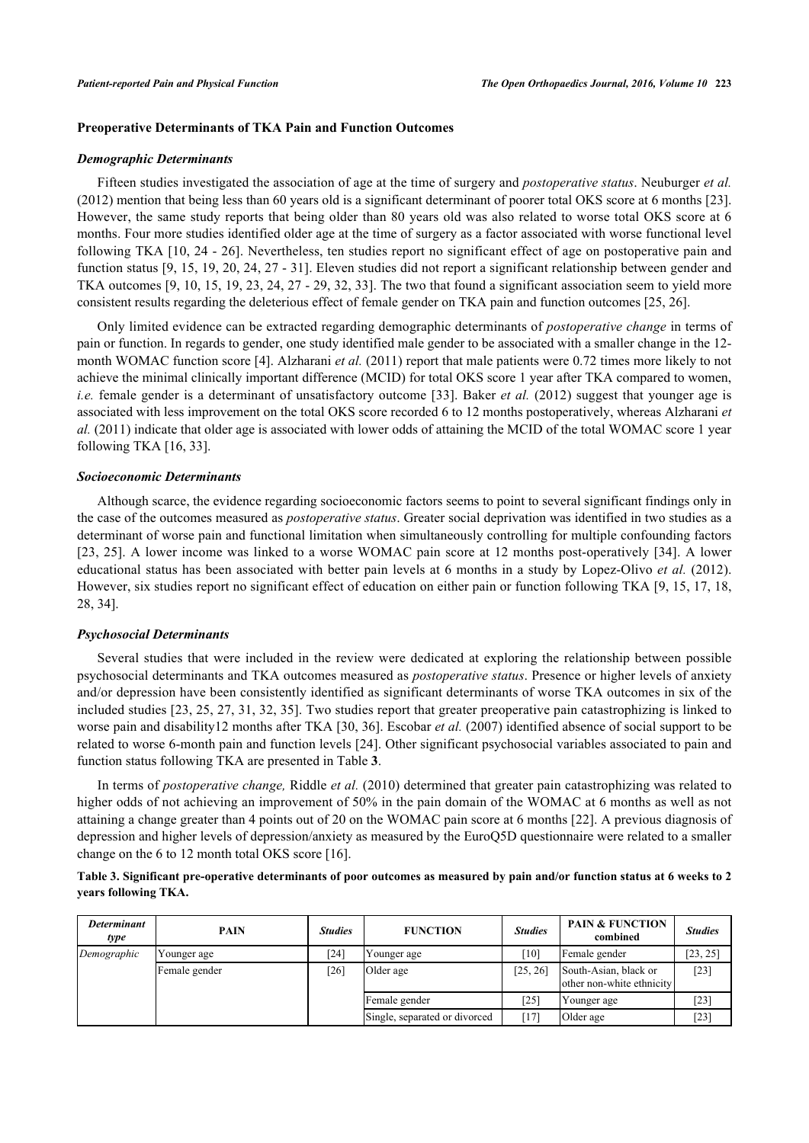# **Preoperative Determinants of TKA Pain and Function Outcomes**

#### *Demographic Determinants*

Fifteen studies investigated the association of age at the time of surgery and *postoperative status*. Neuburger *et al.* (2012) mention that being less than 60 years old is a significant determinant of poorer total OKS score at 6 months [[23\]](#page-16-9). However, the same study reports that being older than 80 years old was also related to worse total OKS score at 6 months. Four more studies identified older age at the time of surgery as a factor associated with worse functional level following TKA [[10](#page-15-6), [24](#page-16-2) - [26](#page-16-7)]. Nevertheless, ten studies report no significant effect of age on postoperative pain and function status [[9,](#page-15-5) [15](#page-16-3), [19,](#page-16-11) [20](#page-16-12), [24,](#page-16-2) [27](#page-16-5) - [31](#page-16-16)]. Eleven studies did not report a significant relationship between gender and TKA outcomes [[9,](#page-15-5) [10](#page-15-6), [15,](#page-16-3) [19,](#page-16-11) [23](#page-16-9), [24,](#page-16-2) [27](#page-16-5) - [29,](#page-16-13) [32](#page-17-3), [33](#page-17-0)]. The two that found a significant association seem to yield more consistent results regarding the deleterious effect of female gender on TKA pain and function outcomes [\[25](#page-16-6), [26](#page-16-7)].

Only limited evidence can be extracted regarding demographic determinants of *postoperative change* in terms of pain or function. In regards to gender, one study identified male gender to be associated with a smaller change in the 12 month WOMAC function score [[4\]](#page-15-10). Alzharani *et al.* (2011) report that male patients were 0.72 times more likely to not achieve the minimal clinically important difference (MCID) for total OKS score 1 year after TKA compared to women, *i.e.* female gender is a determinant of unsatisfactory outcome [[33](#page-17-0)]. Baker *et al.* (2012) suggest that younger age is associated with less improvement on the total OKS score recorded 6 to 12 months postoperatively, whereas Alzharani *et al.* (2011) indicate that older age is associated with lower odds of attaining the MCID of the total WOMAC score 1 year following TKA [\[16](#page-16-0), [33](#page-17-0)].

#### *Socioeconomic Determinants*

Although scarce, the evidence regarding socioeconomic factors seems to point to several significant findings only in the case of the outcomes measured as *postoperative status*. Greater social deprivation was identified in two studies as a determinant of worse pain and functional limitation when simultaneously controlling for multiple confounding factors [\[23](#page-16-9), [25\]](#page-16-6). A lower income was linked to a worse WOMAC pain score at 12 months post-operatively [[34](#page-17-6)]. A lower educational status has been associated with better pain levels at 6 months in a study by Lopez-Olivo *et al.* (2012). However, six studies report no significant effect of education on either pain or function following TKA [[9,](#page-15-5) [15](#page-16-3), [17,](#page-16-1) [18](#page-16-8), [28,](#page-16-10) [34\]](#page-17-6).

#### *Psychosocial Determinants*

Several studies that were included in the review were dedicated at exploring the relationship between possible psychosocial determinants and TKA outcomes measured as *postoperative status*. Presence or higher levels of anxiety and/or depression have been consistently identified as significant determinants of worse TKA outcomes in six of the included studies [[23](#page-16-9), [25,](#page-16-6) [27](#page-16-5), [31,](#page-16-16) [32](#page-17-3), [35\]](#page-17-4). Two studies report that greater preoperative pain catastrophizing is linked to worse pain and disability12 months after TKA [[30](#page-16-15), [36](#page-17-11)]. Escobar *et al.* (2007) identified absence of social support to be related to worse 6-month pain and function levels [[24\]](#page-16-2). Other significant psychosocial variables associated to pain and function status following TKA are presented in Table **[3](#page-10-0)**.

In terms of *postoperative change,* Riddle *et al.* (2010) determined that greater pain catastrophizing was related to higher odds of not achieving an improvement of 50% in the pain domain of the WOMAC at 6 months as well as not attaining a change greater than 4 points out of 20 on the WOMAC pain score at 6 months [[22\]](#page-16-14). A previous diagnosis of depression and higher levels of depression/anxiety as measured by the EuroQ5D questionnaire were related to a smaller change on the 6 to 12 month total OKS score [[16\]](#page-16-0).

<span id="page-10-0"></span>

| Table 3. Significant pre-operative determinants of poor outcomes as measured by pain and/or function status at 6 weeks to 2 |  |  |
|-----------------------------------------------------------------------------------------------------------------------------|--|--|
| years following TKA.                                                                                                        |  |  |

| Determinant<br>type | <b>PAIN</b>   | <b>Studies</b> | <b>FUNCTION</b>               | <b>Studies</b> | <b>PAIN &amp; FUNCTION</b><br>combined             | <b>Studies</b>    |
|---------------------|---------------|----------------|-------------------------------|----------------|----------------------------------------------------|-------------------|
| Demographic         | Younger age   | [24]           | Younger age                   | 101            | Female gender                                      | [23, 25]          |
|                     | Female gender | [26]           | Older age                     | [25, 26]       | South-Asian, black or<br>other non-white ethnicity | $\left[23\right]$ |
|                     |               |                | Female gender                 | $[25]$         | Younger age                                        | $[23]$            |
|                     |               |                | Single, separated or divorced | [17]           | Older age                                          | [23]              |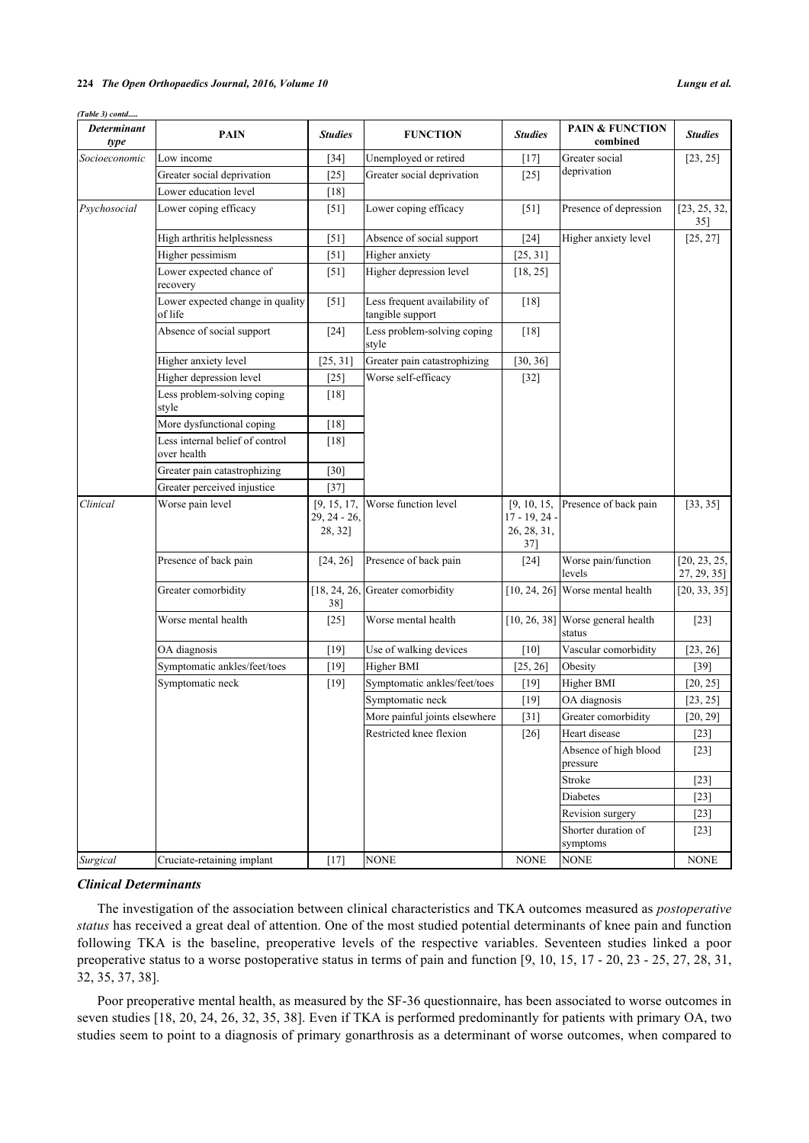| <b>Determinant</b><br>type | <b>PAIN</b>                                    | <b>Studies</b>                           | <b>FUNCTION</b>                                   | <b>Studies</b>                                          | <b>PAIN &amp; FUNCTION</b><br>combined | <b>Studies</b>              |
|----------------------------|------------------------------------------------|------------------------------------------|---------------------------------------------------|---------------------------------------------------------|----------------------------------------|-----------------------------|
| Socioeconomic              | Low income                                     | $[34]$                                   | Unemployed or retired                             | $[17]$                                                  | Greater social                         | [23, 25]                    |
|                            | Greater social deprivation                     | $[25]$                                   | Greater social deprivation                        | $[25]$                                                  | deprivation                            |                             |
|                            | Lower education level                          | $[18]$                                   |                                                   |                                                         |                                        |                             |
| Psychosocial               | Lower coping efficacy                          | $[51]$                                   | Lower coping efficacy                             | [51]                                                    | Presence of depression                 | [23, 25, 32,<br>35]         |
|                            | High arthritis helplessness                    | $[51]$                                   | Absence of social support                         | $[24]$                                                  | Higher anxiety level                   | [25, 27]                    |
|                            | Higher pessimism                               | $[51]$                                   | Higher anxiety                                    | [25, 31]                                                |                                        |                             |
|                            | Lower expected chance of<br>recovery           | [51]                                     | Higher depression level                           | [18, 25]                                                |                                        |                             |
|                            | Lower expected change in quality<br>of life    | $[51]$                                   | Less frequent availability of<br>tangible support | [18]                                                    |                                        |                             |
|                            | Absence of social support                      | $[24]$                                   | Less problem-solving coping<br>style              | $[18]$                                                  |                                        |                             |
|                            | Higher anxiety level                           | [25, 31]                                 | Greater pain catastrophizing                      | [30, 36]                                                |                                        |                             |
|                            | Higher depression level                        | $[25]$                                   | Worse self-efficacy                               | $[32]$                                                  |                                        |                             |
|                            | Less problem-solving coping<br>style           | $[18]$                                   |                                                   |                                                         |                                        |                             |
|                            | More dysfunctional coping                      | $[18]$                                   |                                                   |                                                         |                                        |                             |
|                            | Less internal belief of control<br>over health | $[18]$                                   |                                                   |                                                         |                                        |                             |
|                            | Greater pain catastrophizing                   | $[30]$                                   |                                                   |                                                         |                                        |                             |
|                            | Greater perceived injustice                    | $[37]$                                   |                                                   |                                                         |                                        |                             |
| Clinical                   | Worse pain level                               | [9, 15, 17,<br>$29, 24 - 26,$<br>28, 32] | Worse function level                              | [9, 10, 15,<br>$17 - 19, 24 -$<br>26, 28, 31,<br>$37$ ] | Presence of back pain                  | [33, 35]                    |
|                            | Presence of back pain                          | [24, 26]                                 | Presence of back pain                             | $[24]$                                                  | Worse pain/function<br>levels          | [20, 23, 25,<br>27, 29, 35] |
|                            | Greater comorbidity                            | 38]                                      | [18, 24, 26, Greater comorbidity                  | [10, 24, 26]                                            | Worse mental health                    | [20, 33, 35]                |
|                            | Worse mental health                            | $[25]$                                   | Worse mental health                               | [10, 26, 38]                                            | Worse general health<br>status         | $[23]$                      |
|                            | OA diagnosis                                   | $[19]$                                   | Use of walking devices                            | $[10]$                                                  | Vascular comorbidity                   | [23, 26]                    |
|                            | Symptomatic ankles/feet/toes                   | $[19]$                                   | Higher BMI                                        | [25, 26]                                                | Obesity                                | $[39]$                      |
|                            | Symptomatic neck                               | $[19]$                                   | Symptomatic ankles/feet/toes                      | $[19]$                                                  | Higher BMI                             | [20, 25]                    |
|                            |                                                |                                          | Symptomatic neck                                  | $[19]$                                                  | OA diagnosis                           | [23, 25]                    |
|                            |                                                |                                          | More painful joints elsewhere                     | $[31]$                                                  | Greater comorbidity                    | [20, 29]                    |
|                            |                                                |                                          | Restricted knee flexion                           | $[26]$                                                  | Heart disease                          | $[23]$                      |
|                            |                                                |                                          |                                                   |                                                         | Absence of high blood<br>pressure      | $[23]$                      |
|                            |                                                |                                          |                                                   |                                                         | Stroke                                 | $[23]$                      |
|                            |                                                |                                          |                                                   |                                                         | Diabetes                               | $[23]$                      |
|                            |                                                |                                          |                                                   |                                                         | Revision surgery                       | $[23]$                      |
|                            |                                                |                                          |                                                   |                                                         | Shorter duration of<br>symptoms        | $[23]$                      |
| Surgical                   | Cruciate-retaining implant                     | $[17]$                                   | <b>NONE</b>                                       | <b>NONE</b>                                             | <b>NONE</b>                            | <b>NONE</b>                 |

|  | (Table 3) contd |
|--|-----------------|

### *Clinical Determinants*

The investigation of the association between clinical characteristics and TKA outcomes measured as *postoperative status* has received a great deal of attention. One of the most studied potential determinants of knee pain and function following TKA is the baseline, preoperative levels of the respective variables. Seventeen studies linked a poor preoperative status to a worse postoperative status in terms of pain and function [[9,](#page-15-5) [10,](#page-15-6) [15](#page-16-3), [17](#page-16-1) - [20](#page-16-12), [23](#page-16-9) - [25](#page-16-6), [27,](#page-16-5) [28,](#page-16-10) [31](#page-16-16), [32,](#page-17-3) [35,](#page-17-4) [37,](#page-17-2) [38\]](#page-17-10).

Poor preoperative mental health, as measured by the SF-36 questionnaire, has been associated to worse outcomes in seven studies [[18,](#page-16-8) [20](#page-16-12), [24,](#page-16-2) [26,](#page-16-7) [32](#page-17-3), [35,](#page-17-4) [38\]](#page-17-10). Even if TKA is performed predominantly for patients with primary OA, two studies seem to point to a diagnosis of primary gonarthrosis as a determinant of worse outcomes, when compared to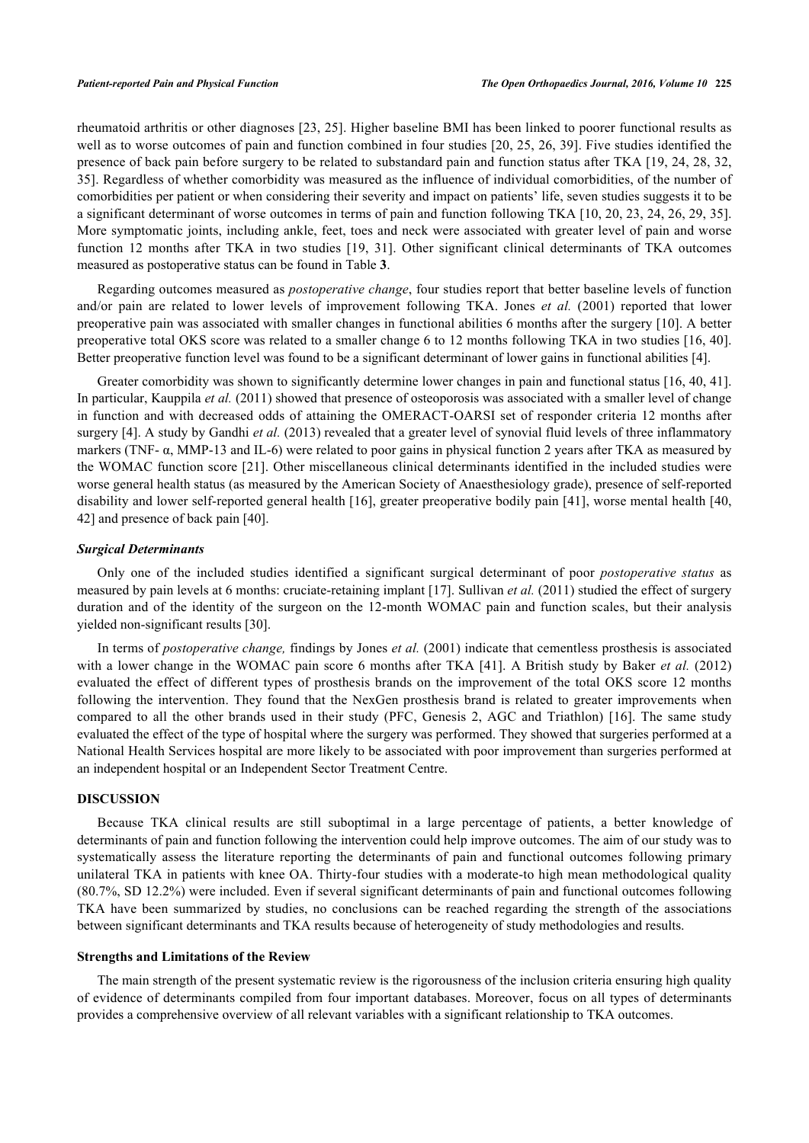rheumatoid arthritis or other diagnoses [\[23](#page-16-9), [25](#page-16-6)]. Higher baseline BMI has been linked to poorer functional results as well as to worse outcomes of pain and function combined in four studies [[20](#page-16-12), [25,](#page-16-6) [26,](#page-16-7) [39](#page-17-8)]. Five studies identified the presence of back pain before surgery to be related to substandard pain and function status after TKA [[19](#page-16-11), [24,](#page-16-2) [28](#page-16-10), [32](#page-17-3), [35\]](#page-17-4). Regardless of whether comorbidity was measured as the influence of individual comorbidities, of the number of comorbidities per patient or when considering their severity and impact on patients' life, seven studies suggests it to be a significant determinant of worse outcomes in terms of pain and function following TKA [\[10](#page-15-6), [20,](#page-16-12) [23](#page-16-9), [24,](#page-16-2) [26,](#page-16-7) [29](#page-16-13), [35\]](#page-17-4). More symptomatic joints, including ankle, feet, toes and neck were associated with greater level of pain and worse function 12 months after TKA in two studies[[19,](#page-16-11) [31\]](#page-16-16). Other significant clinical determinants of TKA outcomes measured as postoperative status can be found in Table **[3](#page-10-0)**.

Regarding outcomes measured as *postoperative change*, four studies report that better baseline levels of function and/or pain are related to lower levels of improvement following TKA. Jones *et al.* (2001) reported that lower preoperative pain was associated with smaller changes in functional abilities 6 months after the surgery [\[10\]](#page-15-6). A better preoperative total OKS score was related to a smaller change 6 to 12 months following TKA in two studies [[16](#page-16-0), [40\]](#page-17-5). Better preoperative function level was found to be a significant determinant of lower gains in functional abilities [\[4](#page-15-10)].

Greater comorbidity was shown to significantly determine lower changes in pain and functional status [[16](#page-16-0), [40](#page-17-5), [41\]](#page-17-9). In particular, Kauppila *et al.* (2011) showed that presence of osteoporosis was associated with a smaller level of change in function and with decreased odds of attaining the OMERACT-OARSI set of responder criteria 12 months after surgery [[4](#page-15-10)]. A study by Gandhi *et al.* (2013) revealed that a greater level of synovial fluid levels of three inflammatory markers (TNF- $\alpha$ , MMP-13 and IL-6) were related to poor gains in physical function 2 years after TKA as measured by the WOMAC function score [[21\]](#page-16-4). Other miscellaneous clinical determinants identified in the included studies were worse general health status (as measured by the American Society of Anaesthesiology grade), presence of self-reported disability and lower self-reported general health [[16\]](#page-16-0), greater preoperative bodily pain [[41\]](#page-17-9), worse mental health [[40](#page-17-5), [42\]](#page-17-1) and presence of back pain [\[40](#page-17-5)].

#### *Surgical Determinants*

Only one of the included studies identified a significant surgical determinant of poor *postoperative status* as measured by pain levels at 6 months: cruciate-retaining implant [[17\]](#page-16-1). Sullivan *et al.* (2011) studied the effect of surgery duration and of the identity of the surgeon on the 12-month WOMAC pain and function scales, but their analysis yielded non-significant results [[30\]](#page-16-15).

In terms of *postoperative change,* findings by Jones *et al.* (2001) indicate that cementless prosthesis is associated with a lower change in the WOMAC pain score 6 months after TKA [\[41\]](#page-17-9). A British study by Baker *et al.* (2012) evaluated the effect of different types of prosthesis brands on the improvement of the total OKS score 12 months following the intervention. They found that the NexGen prosthesis brand is related to greater improvements when compared to all the other brands used in their study (PFC, Genesis 2, AGC and Triathlon)[[16\]](#page-16-0). The same study evaluated the effect of the type of hospital where the surgery was performed. They showed that surgeries performed at a National Health Services hospital are more likely to be associated with poor improvement than surgeries performed at an independent hospital or an Independent Sector Treatment Centre.

#### **DISCUSSION**

Because TKA clinical results are still suboptimal in a large percentage of patients, a better knowledge of determinants of pain and function following the intervention could help improve outcomes. The aim of our study was to systematically assess the literature reporting the determinants of pain and functional outcomes following primary unilateral TKA in patients with knee OA. Thirty-four studies with a moderate-to high mean methodological quality (80.7%, SD 12.2%) were included. Even if several significant determinants of pain and functional outcomes following TKA have been summarized by studies, no conclusions can be reached regarding the strength of the associations between significant determinants and TKA results because of heterogeneity of study methodologies and results.

# **Strengths and Limitations of the Review**

The main strength of the present systematic review is the rigorousness of the inclusion criteria ensuring high quality of evidence of determinants compiled from four important databases. Moreover, focus on all types of determinants provides a comprehensive overview of all relevant variables with a significant relationship to TKA outcomes.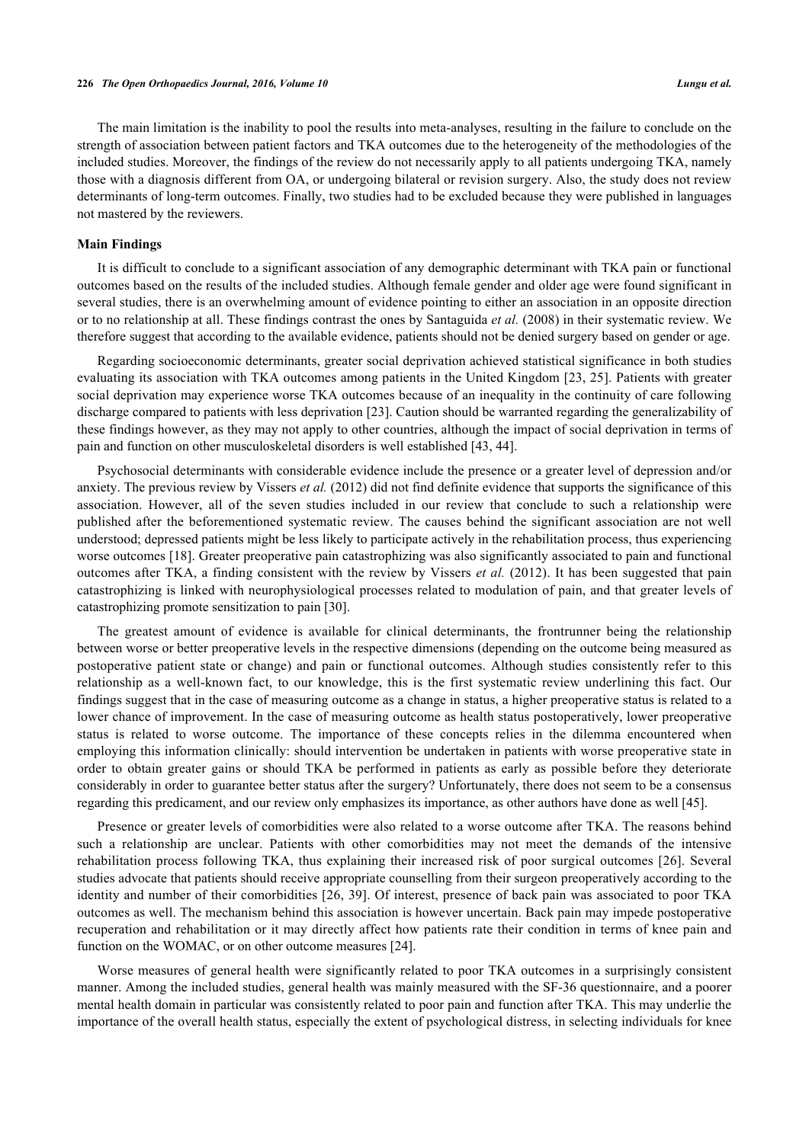The main limitation is the inability to pool the results into meta-analyses, resulting in the failure to conclude on the strength of association between patient factors and TKA outcomes due to the heterogeneity of the methodologies of the included studies. Moreover, the findings of the review do not necessarily apply to all patients undergoing TKA, namely those with a diagnosis different from OA, or undergoing bilateral or revision surgery. Also, the study does not review determinants of long-term outcomes. Finally, two studies had to be excluded because they were published in languages not mastered by the reviewers.

# **Main Findings**

It is difficult to conclude to a significant association of any demographic determinant with TKA pain or functional outcomes based on the results of the included studies. Although female gender and older age were found significant in several studies, there is an overwhelming amount of evidence pointing to either an association in an opposite direction or to no relationship at all. These findings contrast the ones by Santaguida *et al.* (2008) in their systematic review. We therefore suggest that according to the available evidence, patients should not be denied surgery based on gender or age.

Regarding socioeconomic determinants, greater social deprivation achieved statistical significance in both studies evaluating its association with TKA outcomes among patients in the United Kingdom [[23,](#page-16-9) [25\]](#page-16-6). Patients with greater social deprivation may experience worse TKA outcomes because of an inequality in the continuity of care following discharge compared to patients with less deprivation [\[23](#page-16-9)]. Caution should be warranted regarding the generalizability of these findings however, as they may not apply to other countries, although the impact of social deprivation in terms of pain and function on other musculoskeletal disorders is well established [[43,](#page-17-12) [44\]](#page-17-13).

Psychosocial determinants with considerable evidence include the presence or a greater level of depression and/or anxiety. The previous review by Vissers *et al.* (2012) did not find definite evidence that supports the significance of this association. However, all of the seven studies included in our review that conclude to such a relationship were published after the beforementioned systematic review. The causes behind the significant association are not well understood; depressed patients might be less likely to participate actively in the rehabilitation process, thus experiencing worse outcomes [[18\]](#page-16-8). Greater preoperative pain catastrophizing was also significantly associated to pain and functional outcomes after TKA, a finding consistent with the review by Vissers *et al.* (2012). It has been suggested that pain catastrophizing is linked with neurophysiological processes related to modulation of pain, and that greater levels of catastrophizing promote sensitization to pain [[30\]](#page-16-15).

The greatest amount of evidence is available for clinical determinants, the frontrunner being the relationship between worse or better preoperative levels in the respective dimensions (depending on the outcome being measured as postoperative patient state or change) and pain or functional outcomes. Although studies consistently refer to this relationship as a well-known fact, to our knowledge, this is the first systematic review underlining this fact. Our findings suggest that in the case of measuring outcome as a change in status, a higher preoperative status is related to a lower chance of improvement. In the case of measuring outcome as health status postoperatively, lower preoperative status is related to worse outcome. The importance of these concepts relies in the dilemma encountered when employing this information clinically: should intervention be undertaken in patients with worse preoperative state in order to obtain greater gains or should TKA be performed in patients as early as possible before they deteriorate considerably in order to guarantee better status after the surgery? Unfortunately, there does not seem to be a consensus regarding this predicament, and our review only emphasizes its importance, as other authors have done as well [\[45](#page-17-14)].

Presence or greater levels of comorbidities were also related to a worse outcome after TKA. The reasons behind such a relationship are unclear. Patients with other comorbidities may not meet the demands of the intensive rehabilitation process following TKA, thus explaining their increased risk of poor surgical outcomes [[26](#page-16-7)]. Several studies advocate that patients should receive appropriate counselling from their surgeon preoperatively according to the identity and number of their comorbidities [\[26,](#page-16-7) [39\]](#page-17-8). Of interest, presence of back pain was associated to poor TKA outcomes as well. The mechanism behind this association is however uncertain. Back pain may impede postoperative recuperation and rehabilitation or it may directly affect how patients rate their condition in terms of knee pain and function on the WOMAC, or on other outcome measures [[24\]](#page-16-2).

Worse measures of general health were significantly related to poor TKA outcomes in a surprisingly consistent manner. Among the included studies, general health was mainly measured with the SF-36 questionnaire, and a poorer mental health domain in particular was consistently related to poor pain and function after TKA. This may underlie the importance of the overall health status, especially the extent of psychological distress, in selecting individuals for knee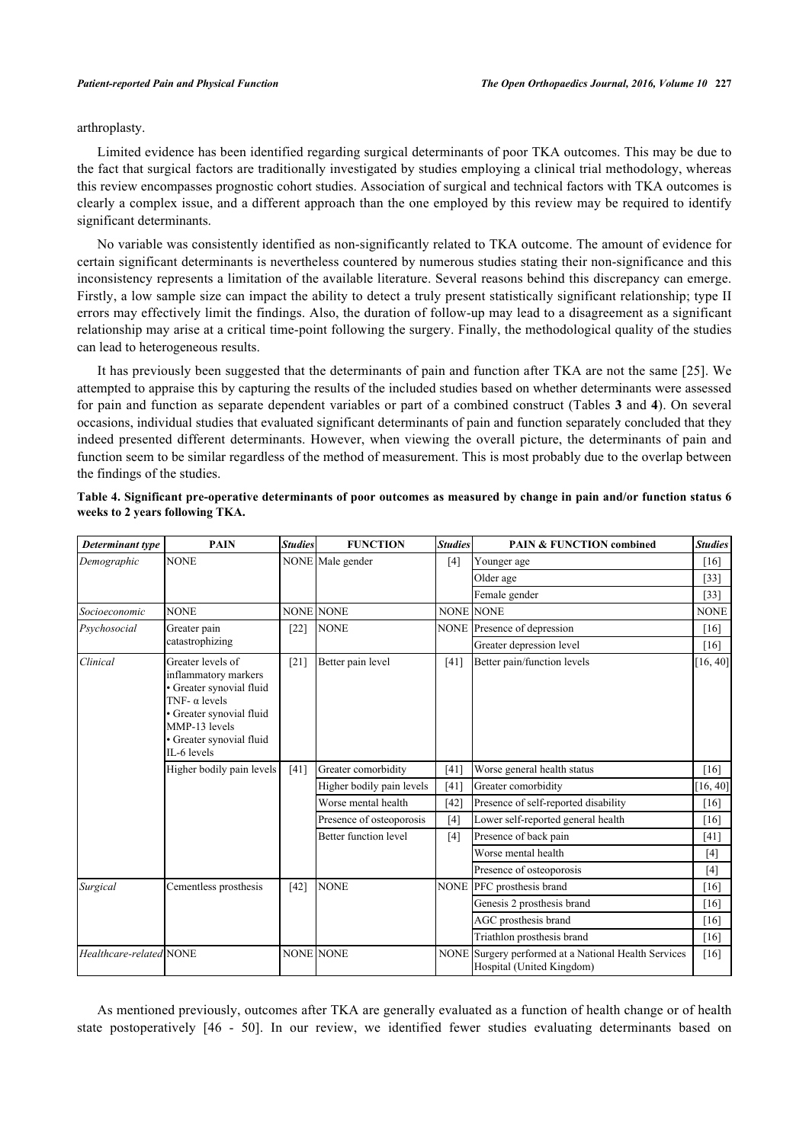# arthroplasty.

Limited evidence has been identified regarding surgical determinants of poor TKA outcomes. This may be due to the fact that surgical factors are traditionally investigated by studies employing a clinical trial methodology, whereas this review encompasses prognostic cohort studies. Association of surgical and technical factors with TKA outcomes is clearly a complex issue, and a different approach than the one employed by this review may be required to identify significant determinants.

No variable was consistently identified as non-significantly related to TKA outcome. The amount of evidence for certain significant determinants is nevertheless countered by numerous studies stating their non-significance and this inconsistency represents a limitation of the available literature. Several reasons behind this discrepancy can emerge. Firstly, a low sample size can impact the ability to detect a truly present statistically significant relationship; type II errors may effectively limit the findings. Also, the duration of follow-up may lead to a disagreement as a significant relationship may arise at a critical time-point following the surgery. Finally, the methodological quality of the studies can lead to heterogeneous results.

It has previously been suggested that the determinants of pain and function after TKA are not the same [\[25\]](#page-16-6). We attempted to appraise this by capturing the results of the included studies based on whether determinants were assessed for pain and function as separate dependent variables or part of a combined construct (Tables **[3](#page-10-0)** and **[4](#page-14-0)**). On several occasions, individual studies that evaluated significant determinants of pain and function separately concluded that they indeed presented different determinants. However, when viewing the overall picture, the determinants of pain and function seem to be similar regardless of the method of measurement. This is most probably due to the overlap between the findings of the studies.

| Determinant type        | <b>PAIN</b>                                                                                                                                                                               | <b>Studies</b> | <b>FUNCTION</b>           | <b>Studies</b> | <b>PAIN &amp; FUNCTION combined</b>                                               | <b>Studies</b> |
|-------------------------|-------------------------------------------------------------------------------------------------------------------------------------------------------------------------------------------|----------------|---------------------------|----------------|-----------------------------------------------------------------------------------|----------------|
| Demographic             | <b>NONE</b>                                                                                                                                                                               |                | NONE Male gender          | [4]            | Younger age                                                                       | [16]           |
|                         |                                                                                                                                                                                           |                |                           |                | Older age                                                                         | $[33]$         |
|                         |                                                                                                                                                                                           |                |                           |                | Female gender                                                                     | $[33]$         |
| Socioeconomic           | <b>NONE</b>                                                                                                                                                                               |                | NONE NONE                 |                | NONE NONE                                                                         | <b>NONE</b>    |
| Psychosocial            | Greater pain                                                                                                                                                                              | $[22]$         | <b>NONE</b>               |                | NONE Presence of depression                                                       | [16]           |
|                         | catastrophizing                                                                                                                                                                           |                |                           |                | Greater depression level                                                          | [16]           |
| Clinical                | Greater levels of<br>inflammatory markers<br>• Greater synovial fluid<br>TNF- $\alpha$ levels<br>• Greater synovial fluid<br>MMP-13 levels<br>• Greater synovial fluid<br>$II - 6$ levels | $[21]$         | Better pain level         | [41]           | Better pain/function levels                                                       | [16, 40]       |
|                         | Higher bodily pain levels                                                                                                                                                                 | [41]           | Greater comorbidity       | [41]           | Worse general health status                                                       | [16]           |
|                         |                                                                                                                                                                                           |                | Higher bodily pain levels | [41]           | Greater comorbidity                                                               | [16, 40]       |
|                         |                                                                                                                                                                                           |                | Worse mental health       | $[42]$         | Presence of self-reported disability                                              | [16]           |
|                         |                                                                                                                                                                                           |                | Presence of osteoporosis  | [4]            | Lower self-reported general health                                                | [16]           |
|                         |                                                                                                                                                                                           |                | Better function level     | [4]            | Presence of back pain                                                             | [41]           |
|                         |                                                                                                                                                                                           |                |                           |                | Worse mental health                                                               | [4]            |
|                         |                                                                                                                                                                                           |                |                           |                | Presence of osteoporosis                                                          | [4]            |
| Surgical                | Cementless prosthesis                                                                                                                                                                     | $[42]$         | <b>NONE</b>               |                | NONE PFC prosthesis brand                                                         | [16]           |
|                         |                                                                                                                                                                                           |                |                           |                | Genesis 2 prosthesis brand                                                        | [16]           |
|                         |                                                                                                                                                                                           |                |                           |                | AGC prosthesis brand                                                              | [16]           |
|                         |                                                                                                                                                                                           |                |                           |                | Triathlon prosthesis brand                                                        | [16]           |
| Healthcare-related NONE |                                                                                                                                                                                           |                | NONE NONE                 |                | NONE Surgery performed at a National Health Services<br>Hospital (United Kingdom) | [16]           |

<span id="page-14-0"></span>**Table 4. Significant pre-operative determinants of poor outcomes as measured by change in pain and/or function status 6 weeks to 2 years following TKA.**

As mentioned previously, outcomes after TKA are generally evaluated as a function of health change or of health state postoperatively[[46](#page-17-15) - [50\]](#page-17-16). In our review, we identified fewer studies evaluating determinants based on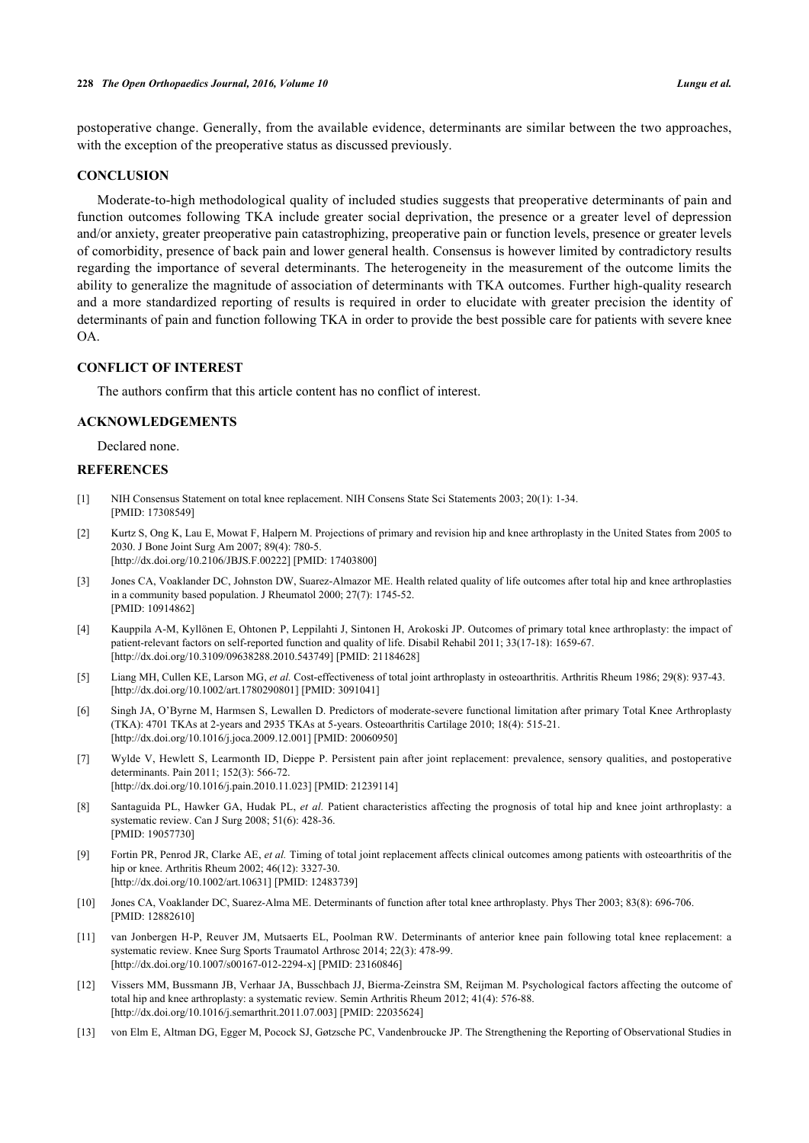postoperative change. Generally, from the available evidence, determinants are similar between the two approaches, with the exception of the preoperative status as discussed previously.

# **CONCLUSION**

Moderate-to-high methodological quality of included studies suggests that preoperative determinants of pain and function outcomes following TKA include greater social deprivation, the presence or a greater level of depression and/or anxiety, greater preoperative pain catastrophizing, preoperative pain or function levels, presence or greater levels of comorbidity, presence of back pain and lower general health. Consensus is however limited by contradictory results regarding the importance of several determinants. The heterogeneity in the measurement of the outcome limits the ability to generalize the magnitude of association of determinants with TKA outcomes. Further high-quality research and a more standardized reporting of results is required in order to elucidate with greater precision the identity of determinants of pain and function following TKA in order to provide the best possible care for patients with severe knee OA.

# **CONFLICT OF INTEREST**

The authors confirm that this article content has no conflict of interest.

#### **ACKNOWLEDGEMENTS**

Declared none.

# **REFERENCES**

- <span id="page-15-0"></span>[1] NIH Consensus Statement on total knee replacement. NIH Consens State Sci Statements 2003; 20(1): 1-34. [PMID: [17308549\]](http://www.ncbi.nlm.nih.gov/pubmed/17308549)
- <span id="page-15-1"></span>[2] Kurtz S, Ong K, Lau E, Mowat F, Halpern M. Projections of primary and revision hip and knee arthroplasty in the United States from 2005 to 2030. J Bone Joint Surg Am 2007; 89(4): 780-5. [\[http://dx.doi.org/10.2106/JBJS.F.00222](http://dx.doi.org/10.2106/JBJS.F.00222)] [PMID: [17403800\]](http://www.ncbi.nlm.nih.gov/pubmed/17403800)
- <span id="page-15-2"></span>[3] Jones CA, Voaklander DC, Johnston DW, Suarez-Almazor ME. Health related quality of life outcomes after total hip and knee arthroplasties in a community based population. J Rheumatol 2000; 27(7): 1745-52. [PMID: [10914862\]](http://www.ncbi.nlm.nih.gov/pubmed/10914862)
- <span id="page-15-10"></span>[4] Kauppila A-M, Kyllönen E, Ohtonen P, Leppilahti J, Sintonen H, Arokoski JP. Outcomes of primary total knee arthroplasty: the impact of patient-relevant factors on self-reported function and quality of life. Disabil Rehabil 2011; 33(17-18): 1659-67. [\[http://dx.doi.org/10.3109/09638288.2010.543749\]](http://dx.doi.org/10.3109/09638288.2010.543749) [PMID: [21184628](http://www.ncbi.nlm.nih.gov/pubmed/21184628)]
- [5] Liang MH, Cullen KE, Larson MG, *et al.* Cost-effectiveness of total joint arthroplasty in osteoarthritis. Arthritis Rheum 1986; 29(8): 937-43. [\[http://dx.doi.org/10.1002/art.1780290801](http://dx.doi.org/10.1002/art.1780290801)] [PMID: [3091041\]](http://www.ncbi.nlm.nih.gov/pubmed/3091041)
- [6] Singh JA, O'Byrne M, Harmsen S, Lewallen D. Predictors of moderate-severe functional limitation after primary Total Knee Arthroplasty (TKA): 4701 TKAs at 2-years and 2935 TKAs at 5-years. Osteoarthritis Cartilage 2010; 18(4): 515-21. [\[http://dx.doi.org/10.1016/j.joca.2009.12.001](http://dx.doi.org/10.1016/j.joca.2009.12.001)] [PMID: [20060950\]](http://www.ncbi.nlm.nih.gov/pubmed/20060950)
- <span id="page-15-3"></span>[7] Wylde V, Hewlett S, Learmonth ID, Dieppe P. Persistent pain after joint replacement: prevalence, sensory qualities, and postoperative determinants. Pain 2011; 152(3): 566-72. [\[http://dx.doi.org/10.1016/j.pain.2010.11.023\]](http://dx.doi.org/10.1016/j.pain.2010.11.023) [PMID: [21239114](http://www.ncbi.nlm.nih.gov/pubmed/21239114)]
- <span id="page-15-4"></span>[8] Santaguida PL, Hawker GA, Hudak PL, *et al.* Patient characteristics affecting the prognosis of total hip and knee joint arthroplasty: a systematic review. Can J Surg 2008; 51(6): 428-36. [PMID: [19057730\]](http://www.ncbi.nlm.nih.gov/pubmed/19057730)
- <span id="page-15-5"></span>[9] Fortin PR, Penrod JR, Clarke AE, *et al.* Timing of total joint replacement affects clinical outcomes among patients with osteoarthritis of the hip or knee. Arthritis Rheum 2002; 46(12): 3327-30. [\[http://dx.doi.org/10.1002/art.10631](http://dx.doi.org/10.1002/art.10631)] [PMID: [12483739\]](http://www.ncbi.nlm.nih.gov/pubmed/12483739)
- <span id="page-15-6"></span>[10] Jones CA, Voaklander DC, Suarez-Alma ME. Determinants of function after total knee arthroplasty. Phys Ther 2003; 83(8): 696-706. [PMID: [12882610\]](http://www.ncbi.nlm.nih.gov/pubmed/12882610)
- <span id="page-15-7"></span>[11] van Jonbergen H-P, Reuver JM, Mutsaerts EL, Poolman RW. Determinants of anterior knee pain following total knee replacement: a systematic review. Knee Surg Sports Traumatol Arthrosc 2014; 22(3): 478-99. [\[http://dx.doi.org/10.1007/s00167-012-2294-x\]](http://dx.doi.org/10.1007/s00167-012-2294-x) [PMID: [23160846](http://www.ncbi.nlm.nih.gov/pubmed/23160846)]
- <span id="page-15-8"></span>[12] Vissers MM, Bussmann JB, Verhaar JA, Busschbach JJ, Bierma-Zeinstra SM, Reijman M. Psychological factors affecting the outcome of total hip and knee arthroplasty: a systematic review. Semin Arthritis Rheum 2012; 41(4): 576-88. [\[http://dx.doi.org/10.1016/j.semarthrit.2011.07.003](http://dx.doi.org/10.1016/j.semarthrit.2011.07.003)] [PMID: [22035624](http://www.ncbi.nlm.nih.gov/pubmed/22035624)]
- <span id="page-15-9"></span>[13] von Elm E, Altman DG, Egger M, Pocock SJ, Gøtzsche PC, Vandenbroucke JP. The Strengthening the Reporting of Observational Studies in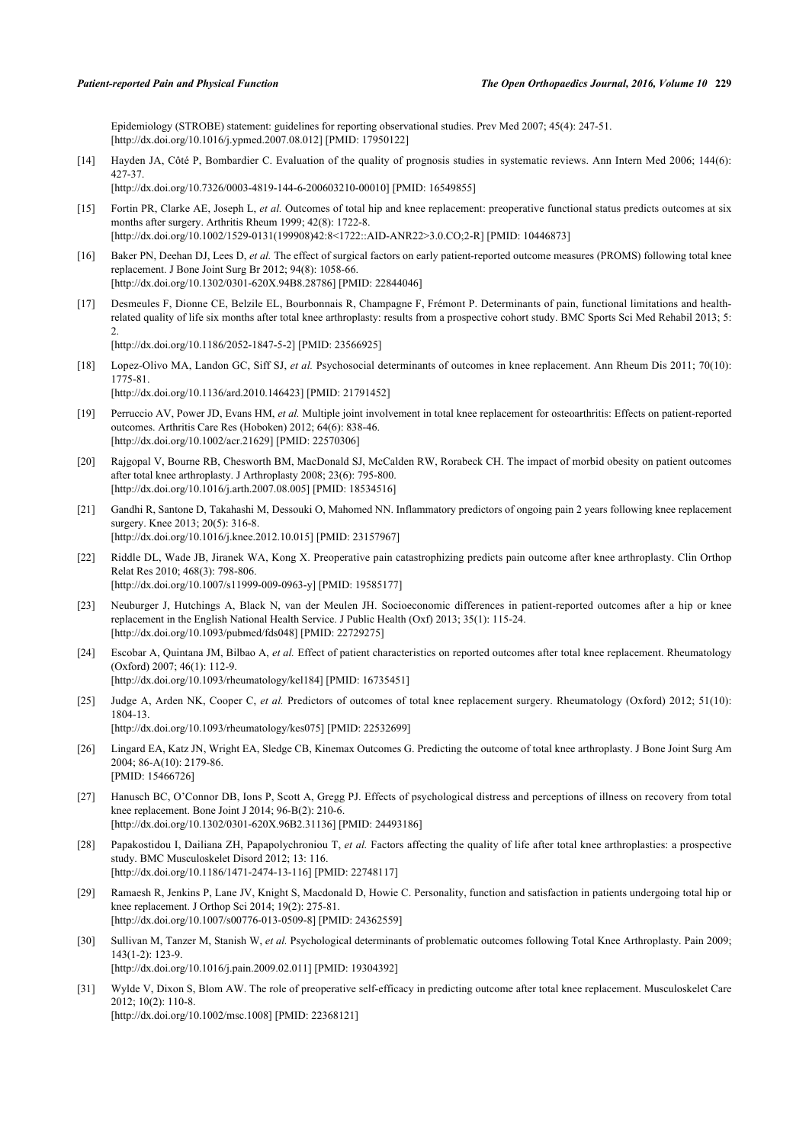Epidemiology (STROBE) statement: guidelines for reporting observational studies. Prev Med 2007; 45(4): 247-51. [\[http://dx.doi.org/10.1016/j.ypmed.2007.08.012\]](http://dx.doi.org/10.1016/j.ypmed.2007.08.012) [PMID: [17950122](http://www.ncbi.nlm.nih.gov/pubmed/17950122)]

<span id="page-16-17"></span>[14] Hayden JA, Côté P, Bombardier C. Evaluation of the quality of prognosis studies in systematic reviews. Ann Intern Med 2006; 144(6): 427-37.

[\[http://dx.doi.org/10.7326/0003-4819-144-6-200603210-00010](http://dx.doi.org/10.7326/0003-4819-144-6-200603210-00010)] [PMID: [16549855\]](http://www.ncbi.nlm.nih.gov/pubmed/16549855)

- <span id="page-16-3"></span>[15] Fortin PR, Clarke AE, Joseph L, *et al.* Outcomes of total hip and knee replacement: preoperative functional status predicts outcomes at six months after surgery. Arthritis Rheum 1999; 42(8): 1722-8. [\[http://dx.doi.org/10.1002/1529-0131\(199908\)42:8<1722::AID-ANR22>3.0.CO;2-R\]](http://dx.doi.org/10.1002/1529-0131(199908)42:8<1722::AID-ANR22>3.0.CO;2-R) [PMID: [10446873](http://www.ncbi.nlm.nih.gov/pubmed/10446873)]
- <span id="page-16-0"></span>[16] Baker PN, Deehan DJ, Lees D, *et al.* The effect of surgical factors on early patient-reported outcome measures (PROMS) following total knee replacement. J Bone Joint Surg Br 2012; 94(8): 1058-66. [\[http://dx.doi.org/10.1302/0301-620X.94B8.28786\]](http://dx.doi.org/10.1302/0301-620X.94B8.28786) [PMID: [22844046](http://www.ncbi.nlm.nih.gov/pubmed/22844046)]
- <span id="page-16-1"></span>[17] Desmeules F, Dionne CE, Belzile EL, Bourbonnais R, Champagne F, Frémont P. Determinants of pain, functional limitations and healthrelated quality of life six months after total knee arthroplasty: results from a prospective cohort study. BMC Sports Sci Med Rehabil 2013; 5: 2. [\[http://dx.doi.org/10.1186/2052-1847-5-2\]](http://dx.doi.org/10.1186/2052-1847-5-2) [PMID: [23566925](http://www.ncbi.nlm.nih.gov/pubmed/23566925)]

<span id="page-16-8"></span>[18] Lopez-Olivo MA, Landon GC, Siff SJ, *et al.* Psychosocial determinants of outcomes in knee replacement. Ann Rheum Dis 2011; 70(10): 1775-81.

[\[http://dx.doi.org/10.1136/ard.2010.146423](http://dx.doi.org/10.1136/ard.2010.146423)] [PMID: [21791452\]](http://www.ncbi.nlm.nih.gov/pubmed/21791452)

- <span id="page-16-11"></span>[19] Perruccio AV, Power JD, Evans HM, *et al.* Multiple joint involvement in total knee replacement for osteoarthritis: Effects on patient-reported outcomes. Arthritis Care Res (Hoboken) 2012; 64(6): 838-46. [\[http://dx.doi.org/10.1002/acr.21629\]](http://dx.doi.org/10.1002/acr.21629) [PMID: [22570306](http://www.ncbi.nlm.nih.gov/pubmed/22570306)]
- <span id="page-16-12"></span>[20] Rajgopal V, Bourne RB, Chesworth BM, MacDonald SJ, McCalden RW, Rorabeck CH. The impact of morbid obesity on patient outcomes after total knee arthroplasty. J Arthroplasty 2008; 23(6): 795-800. [\[http://dx.doi.org/10.1016/j.arth.2007.08.005](http://dx.doi.org/10.1016/j.arth.2007.08.005)] [PMID: [18534516](http://www.ncbi.nlm.nih.gov/pubmed/18534516)]
- <span id="page-16-4"></span>[21] Gandhi R, Santone D, Takahashi M, Dessouki O, Mahomed NN. Inflammatory predictors of ongoing pain 2 years following knee replacement surgery. Knee 2013; 20(5): 316-8. [\[http://dx.doi.org/10.1016/j.knee.2012.10.015](http://dx.doi.org/10.1016/j.knee.2012.10.015)] [PMID: [23157967\]](http://www.ncbi.nlm.nih.gov/pubmed/23157967)
- <span id="page-16-14"></span>[22] Riddle DL, Wade JB, Jiranek WA, Kong X. Preoperative pain catastrophizing predicts pain outcome after knee arthroplasty. Clin Orthop Relat Res 2010; 468(3): 798-806. [\[http://dx.doi.org/10.1007/s11999-009-0963-y\]](http://dx.doi.org/10.1007/s11999-009-0963-y) [PMID: [19585177](http://www.ncbi.nlm.nih.gov/pubmed/19585177)]
- <span id="page-16-9"></span>[23] Neuburger J, Hutchings A, Black N, van der Meulen JH. Socioeconomic differences in patient-reported outcomes after a hip or knee replacement in the English National Health Service. J Public Health (Oxf) 2013; 35(1): 115-24. [\[http://dx.doi.org/10.1093/pubmed/fds048\]](http://dx.doi.org/10.1093/pubmed/fds048) [PMID: [22729275](http://www.ncbi.nlm.nih.gov/pubmed/22729275)]
- <span id="page-16-2"></span>[24] Escobar A, Quintana JM, Bilbao A, et al. Effect of patient characteristics on reported outcomes after total knee replacement. Rheumatology (Oxford) 2007; 46(1): 112-9. [\[http://dx.doi.org/10.1093/rheumatology/kel184](http://dx.doi.org/10.1093/rheumatology/kel184)] [PMID: [16735451\]](http://www.ncbi.nlm.nih.gov/pubmed/16735451)
- <span id="page-16-6"></span>[25] Judge A, Arden NK, Cooper C, *et al.* Predictors of outcomes of total knee replacement surgery. Rheumatology (Oxford) 2012; 51(10): 1804-13. [\[http://dx.doi.org/10.1093/rheumatology/kes075](http://dx.doi.org/10.1093/rheumatology/kes075)] [PMID: [22532699\]](http://www.ncbi.nlm.nih.gov/pubmed/22532699)
- <span id="page-16-7"></span>[26] Lingard EA, Katz JN, Wright EA, Sledge CB, Kinemax Outcomes G. Predicting the outcome of total knee arthroplasty. J Bone Joint Surg Am 2004; 86-A(10): 2179-86. [PMID: [15466726\]](http://www.ncbi.nlm.nih.gov/pubmed/15466726)
- <span id="page-16-5"></span>[27] Hanusch BC, O'Connor DB, Ions P, Scott A, Gregg PJ. Effects of psychological distress and perceptions of illness on recovery from total knee replacement. Bone Joint J 2014; 96-B(2): 210-6. [\[http://dx.doi.org/10.1302/0301-620X.96B2.31136\]](http://dx.doi.org/10.1302/0301-620X.96B2.31136) [PMID: [24493186](http://www.ncbi.nlm.nih.gov/pubmed/24493186)]
- <span id="page-16-10"></span>[28] Papakostidou I, Dailiana ZH, Papapolychroniou T, *et al.* Factors affecting the quality of life after total knee arthroplasties: a prospective study. BMC Musculoskelet Disord 2012; 13: 116. [\[http://dx.doi.org/10.1186/1471-2474-13-116\]](http://dx.doi.org/10.1186/1471-2474-13-116) [PMID: [22748117](http://www.ncbi.nlm.nih.gov/pubmed/22748117)]
- <span id="page-16-13"></span>[29] Ramaesh R, Jenkins P, Lane JV, Knight S, Macdonald D, Howie C. Personality, function and satisfaction in patients undergoing total hip or knee replacement. J Orthop Sci 2014; 19(2): 275-81. [\[http://dx.doi.org/10.1007/s00776-013-0509-8\]](http://dx.doi.org/10.1007/s00776-013-0509-8) [PMID: [24362559](http://www.ncbi.nlm.nih.gov/pubmed/24362559)]
- <span id="page-16-15"></span>[30] Sullivan M, Tanzer M, Stanish W, *et al.* Psychological determinants of problematic outcomes following Total Knee Arthroplasty. Pain 2009; 143(1-2): 123-9. [\[http://dx.doi.org/10.1016/j.pain.2009.02.011\]](http://dx.doi.org/10.1016/j.pain.2009.02.011) [PMID: [19304392](http://www.ncbi.nlm.nih.gov/pubmed/19304392)]
- <span id="page-16-16"></span>[31] Wylde V, Dixon S, Blom AW. The role of preoperative self-efficacy in predicting outcome after total knee replacement. Musculoskelet Care 2012; 10(2): 110-8. [\[http://dx.doi.org/10.1002/msc.1008\]](http://dx.doi.org/10.1002/msc.1008) [PMID: [22368121](http://www.ncbi.nlm.nih.gov/pubmed/22368121)]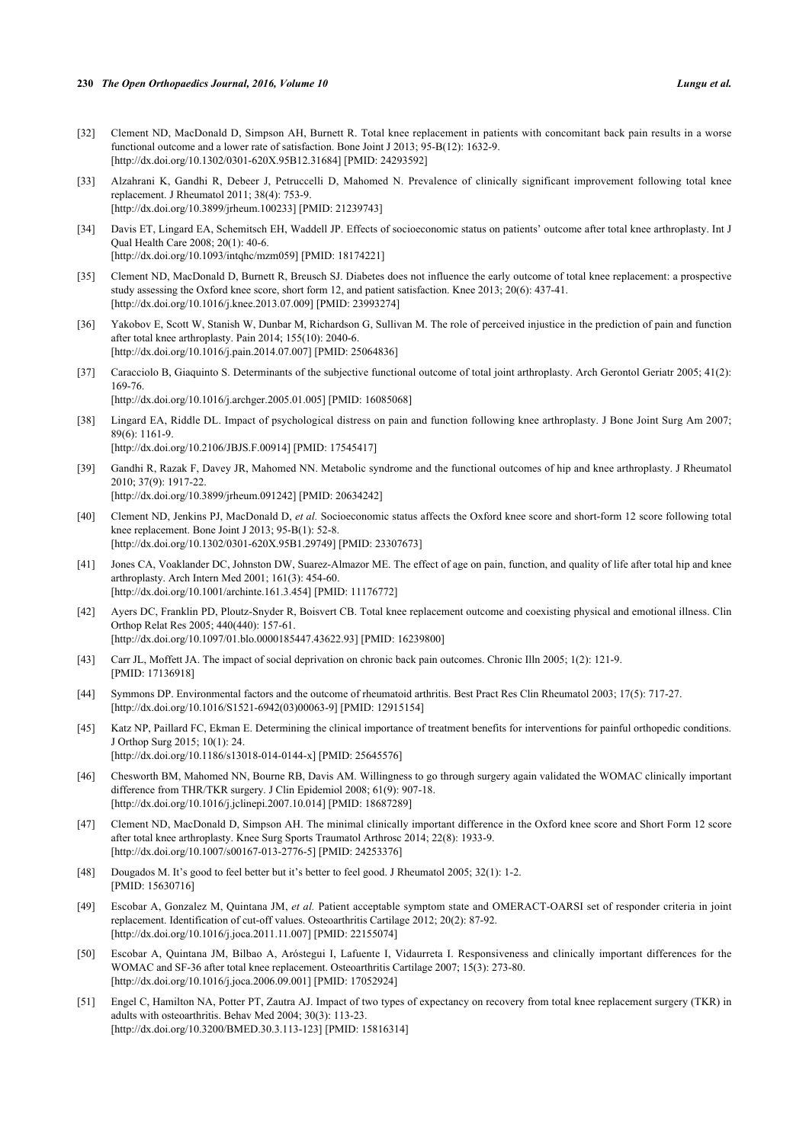- <span id="page-17-3"></span>[32] Clement ND, MacDonald D, Simpson AH, Burnett R. Total knee replacement in patients with concomitant back pain results in a worse functional outcome and a lower rate of satisfaction. Bone Joint J 2013; 95-B(12): 1632-9. [\[http://dx.doi.org/10.1302/0301-620X.95B12.31684\]](http://dx.doi.org/10.1302/0301-620X.95B12.31684) [PMID: [24293592](http://www.ncbi.nlm.nih.gov/pubmed/24293592)]
- <span id="page-17-0"></span>[33] Alzahrani K, Gandhi R, Debeer J, Petruccelli D, Mahomed N. Prevalence of clinically significant improvement following total knee replacement. J Rheumatol 2011; 38(4): 753-9. [\[http://dx.doi.org/10.3899/jrheum.100233](http://dx.doi.org/10.3899/jrheum.100233)] [PMID: [21239743](http://www.ncbi.nlm.nih.gov/pubmed/21239743)]
- <span id="page-17-6"></span>[34] Davis ET, Lingard EA, Schemitsch EH, Waddell JP. Effects of socioeconomic status on patients' outcome after total knee arthroplasty. Int J Qual Health Care 2008; 20(1): 40-6. [\[http://dx.doi.org/10.1093/intqhc/mzm059](http://dx.doi.org/10.1093/intqhc/mzm059)] [PMID: [18174221\]](http://www.ncbi.nlm.nih.gov/pubmed/18174221)
- <span id="page-17-4"></span>[35] Clement ND, MacDonald D, Burnett R, Breusch SJ. Diabetes does not influence the early outcome of total knee replacement: a prospective study assessing the Oxford knee score, short form 12, and patient satisfaction. Knee 2013; 20(6): 437-41. [\[http://dx.doi.org/10.1016/j.knee.2013.07.009](http://dx.doi.org/10.1016/j.knee.2013.07.009)] [PMID: [23993274\]](http://www.ncbi.nlm.nih.gov/pubmed/23993274)
- <span id="page-17-11"></span>[36] Yakobov E, Scott W, Stanish W, Dunbar M, Richardson G, Sullivan M. The role of perceived injustice in the prediction of pain and function after total knee arthroplasty. Pain 2014; 155(10): 2040-6. [\[http://dx.doi.org/10.1016/j.pain.2014.07.007\]](http://dx.doi.org/10.1016/j.pain.2014.07.007) [PMID: [25064836](http://www.ncbi.nlm.nih.gov/pubmed/25064836)]
- <span id="page-17-2"></span>[37] Caracciolo B, Giaquinto S. Determinants of the subjective functional outcome of total joint arthroplasty. Arch Gerontol Geriatr 2005; 41(2): 169-76. [\[http://dx.doi.org/10.1016/j.archger.2005.01.005](http://dx.doi.org/10.1016/j.archger.2005.01.005)] [PMID: [16085068\]](http://www.ncbi.nlm.nih.gov/pubmed/16085068)
- <span id="page-17-10"></span>[38] Lingard EA, Riddle DL. Impact of psychological distress on pain and function following knee arthroplasty. J Bone Joint Surg Am 2007; 89(6): 1161-9. [\[http://dx.doi.org/10.2106/JBJS.F.00914](http://dx.doi.org/10.2106/JBJS.F.00914)] [PMID: [17545417\]](http://www.ncbi.nlm.nih.gov/pubmed/17545417)
- <span id="page-17-8"></span>[39] Gandhi R, Razak F, Davey JR, Mahomed NN. Metabolic syndrome and the functional outcomes of hip and knee arthroplasty. J Rheumatol 2010; 37(9): 1917-22. [\[http://dx.doi.org/10.3899/jrheum.091242](http://dx.doi.org/10.3899/jrheum.091242)] [PMID: [20634242](http://www.ncbi.nlm.nih.gov/pubmed/20634242)]
- <span id="page-17-5"></span>[40] Clement ND, Jenkins PJ, MacDonald D, *et al.* Socioeconomic status affects the Oxford knee score and short-form 12 score following total knee replacement. Bone Joint J 2013; 95-B(1): 52-8. [\[http://dx.doi.org/10.1302/0301-620X.95B1.29749\]](http://dx.doi.org/10.1302/0301-620X.95B1.29749) [PMID: [23307673](http://www.ncbi.nlm.nih.gov/pubmed/23307673)]
- <span id="page-17-9"></span>[41] Jones CA, Voaklander DC, Johnston DW, Suarez-Almazor ME. The effect of age on pain, function, and quality of life after total hip and knee arthroplasty. Arch Intern Med 2001; 161(3): 454-60. [\[http://dx.doi.org/10.1001/archinte.161.3.454\]](http://dx.doi.org/10.1001/archinte.161.3.454) [PMID: [11176772](http://www.ncbi.nlm.nih.gov/pubmed/11176772)]
- <span id="page-17-1"></span>[42] Ayers DC, Franklin PD, Ploutz-Snyder R, Boisvert CB. Total knee replacement outcome and coexisting physical and emotional illness. Clin Orthop Relat Res 2005; 440(440): 157-61. [\[http://dx.doi.org/10.1097/01.blo.0000185447.43622.93](http://dx.doi.org/10.1097/01.blo.0000185447.43622.93)] [PMID: [16239800\]](http://www.ncbi.nlm.nih.gov/pubmed/16239800)
- <span id="page-17-12"></span>[43] Carr JL, Moffett JA. The impact of social deprivation on chronic back pain outcomes. Chronic Illn 2005; 1(2): 121-9. [PMID: [17136918\]](http://www.ncbi.nlm.nih.gov/pubmed/17136918)
- <span id="page-17-13"></span>[44] Symmons DP. Environmental factors and the outcome of rheumatoid arthritis. Best Pract Res Clin Rheumatol 2003; 17(5): 717-27. [\[http://dx.doi.org/10.1016/S1521-6942\(03\)00063-9\]](http://dx.doi.org/10.1016/S1521-6942(03)00063-9) [PMID: [12915154](http://www.ncbi.nlm.nih.gov/pubmed/12915154)]
- <span id="page-17-14"></span>[45] Katz NP, Paillard FC, Ekman E. Determining the clinical importance of treatment benefits for interventions for painful orthopedic conditions. J Orthop Surg 2015; 10(1): 24. [\[http://dx.doi.org/10.1186/s13018-014-0144-x\]](http://dx.doi.org/10.1186/s13018-014-0144-x) [PMID: [25645576](http://www.ncbi.nlm.nih.gov/pubmed/25645576)]
- <span id="page-17-15"></span>[46] Chesworth BM, Mahomed NN, Bourne RB, Davis AM. Willingness to go through surgery again validated the WOMAC clinically important difference from THR/TKR surgery. J Clin Epidemiol 2008; 61(9): 907-18. [\[http://dx.doi.org/10.1016/j.jclinepi.2007.10.014](http://dx.doi.org/10.1016/j.jclinepi.2007.10.014)] [PMID: [18687289\]](http://www.ncbi.nlm.nih.gov/pubmed/18687289)
- [47] Clement ND, MacDonald D, Simpson AH. The minimal clinically important difference in the Oxford knee score and Short Form 12 score after total knee arthroplasty. Knee Surg Sports Traumatol Arthrosc 2014; 22(8): 1933-9. [\[http://dx.doi.org/10.1007/s00167-013-2776-5\]](http://dx.doi.org/10.1007/s00167-013-2776-5) [PMID: [24253376](http://www.ncbi.nlm.nih.gov/pubmed/24253376)]
- [48] Dougados M. It's good to feel better but it's better to feel good. J Rheumatol 2005; 32(1): 1-2. [PMID: [15630716\]](http://www.ncbi.nlm.nih.gov/pubmed/15630716)
- [49] Escobar A, Gonzalez M, Quintana JM, *et al.* Patient acceptable symptom state and OMERACT-OARSI set of responder criteria in joint replacement. Identification of cut-off values. Osteoarthritis Cartilage 2012; 20(2): 87-92. [\[http://dx.doi.org/10.1016/j.joca.2011.11.007](http://dx.doi.org/10.1016/j.joca.2011.11.007)] [PMID: [22155074\]](http://www.ncbi.nlm.nih.gov/pubmed/22155074)
- <span id="page-17-16"></span>[50] Escobar A, Quintana JM, Bilbao A, Aróstegui I, Lafuente I, Vidaurreta I. Responsiveness and clinically important differences for the WOMAC and SF-36 after total knee replacement. Osteoarthritis Cartilage 2007; 15(3): 273-80. [\[http://dx.doi.org/10.1016/j.joca.2006.09.001](http://dx.doi.org/10.1016/j.joca.2006.09.001)] [PMID: [17052924\]](http://www.ncbi.nlm.nih.gov/pubmed/17052924)
- <span id="page-17-7"></span>[51] Engel C, Hamilton NA, Potter PT, Zautra AJ. Impact of two types of expectancy on recovery from total knee replacement surgery (TKR) in adults with osteoarthritis. Behav Med 2004; 30(3): 113-23. [\[http://dx.doi.org/10.3200/BMED.30.3.113-123\]](http://dx.doi.org/10.3200/BMED.30.3.113-123) [PMID: [15816314](http://www.ncbi.nlm.nih.gov/pubmed/15816314)]